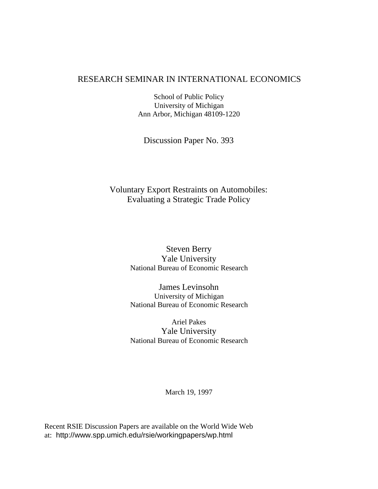# RESEARCH SEMINAR IN INTERNATIONAL ECONOMICS

School of Public Policy University of Michigan Ann Arbor, Michigan 48109-1220

Discussion Paper No. 393

# Voluntary Export Restraints on Automobiles: Evaluating a Strategic Trade Policy

# Steven Berry Yale University National Bureau of Economic Research

James Levinsohn University of Michigan National Bureau of Economic Research

Ariel Pakes Yale University National Bureau of Economic Research

March 19, 1997

Recent RSIE Discussion Papers are available on the World Wide Web at: http://www.spp.umich.edu/rsie/workingpapers/wp.html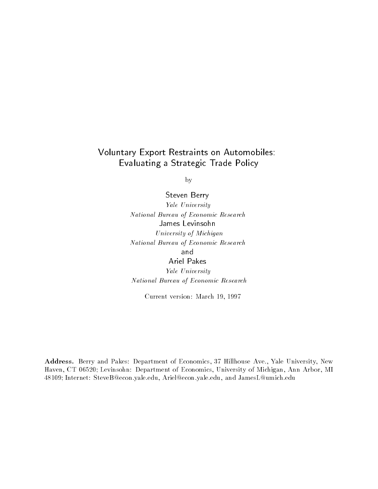# Voluntary Export Restraints on Automobiles: Evaluating a Strategic Trade Policy

by

Steven Berry Yale University National Bureau of Economic Research James Levinsohn University of Michigan National Bureau of Economic Research and

Ariel Pakes

Yale University National Bureau of Economic Research

Current version: March 19, 1997

Address. Berry and Pakes: Department of Economics, 37 Hillhouse Ave., Yale University, New Haven, CT 06520; Levinsohn: Department of Economics, University of Michigan, Ann Arbor, MI 48109; Internet: SteveB@econ.yale.edu, Ariel@econ.yale.edu, and JamesL@umich.edu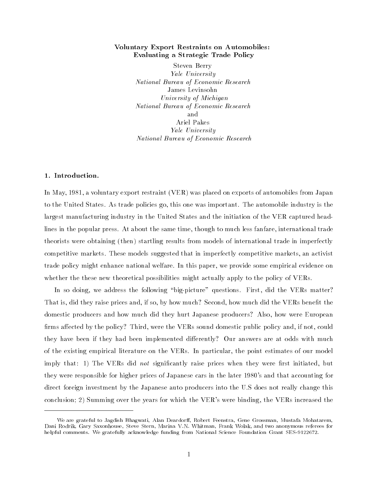# Voluntary Export Restraints on Automobiles: Evaluating a Strategic Trade Policy

Steven Berry Yale University National Bureau of Economic Research James Levinsohn University of Michigan National Bureau of Economic Research and Ariel Pakes Yale University National Bureau of Economic Research

#### 1. Introduction.

In May, 1981, a voluntary export restraint (VER) was placed on exports of automobiles from Japan to the United States. As trade policies go, this one was important. The automobile industry is the largest manufacturing industry in the United States and the initiation of the VER captured headlines in the popular press. At about the same time, though to much less fanfare, international trade theorists were obtaining (then) startling results from models of international trade in imperfectly competitive markets. These models suggested that in imperfectly competitive markets, an activist trade policy might enhance national welfare. In this paper, we provide some empirical evidence on whether the these new theoretical possibilities might actually apply to the policy of VERs.

In so doing, we address the following "big-picture" questions. First, did the VERs matter? That is, did they raise prices and, if so, by how much? Second, how much did the VERs benefit the domestic producers and how much did they hurt Japanese producers? Also, how were European firms affected by the policy? Third, were the VERs sound domestic public policy and, if not, could they have been if they had been implemented differently? Our answers are at odds with much of the existing empirical literature on the VERs. In particular, the point estimates of our model imply that: 1) The VERs did *not* significantly raise prices when they were first initiated, but they were responsible for higher prices of Japanese cars in the later 1980's and that accounting for direct foreign investment by the Japanese auto producers into the U.S does not really change this conclusion; 2) Summing over the years for which the VER's were binding, the VERs increased the

We are grateful to Jagdish Bhagwati, Alan Deardorff, Robert Feenstra, Gene Grossman, Mustafa Mohatarem, Dani Rodrik, Gary Saxonhouse, Steve Stern, Marina V.N. Whitman, Frank Wolak, and two anonymous referees for helpful comments. We gratefully acknowledge funding from National Science Foundation Grant SES-9122672.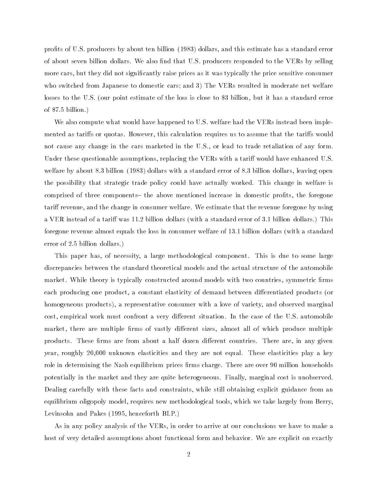prots of U.S. producers by about ten billion (1983) dollars, and this estimate has a standard error of about seven billion dollars. We also find that U.S. producers responded to the VERs by selling more cars, but they did not signicantly raise prices as it was typically the price sensitive consumer who switched from Japanese to domestic cars; and 3) The VERs resulted in moderate net welfare losses to the U.S. (our point estimate of the loss is close to \$3 billion, but it has a standard error of \$7.5 billion.)

We also compute what would have happened to U.S. welfare had the VERs instead been implemented as tariffs or quotas. However, this calculation requires us to assume that the tariffs would not cause any change in the cars marketed in the U.S., or lead to trade retaliation of any form. Under these questionable assumptions, replacing the VERs with a tariff would have enhanced U.S. welfare by about 8.3 billion (1983) dollars with a standard error of 8.3 billion dollars, leaving open the possibility that strategic trade policy could have actually worked. This change in welfare is comprised of three components- the above mentioned increase in domestic profits, the foregone tariff revenue, and the change in consumer welfare. We estimate that the revenue foregone by using a VER instead of a tariff was 11.2 billion dollars (with a standard error of 3.1 billion dollars.) This foregone revenue almost equals the loss in consumer welfare of 13.1 billion dollars (with a standard error of 2.5 billion dollars.)

This paper has, of necessity, a large methodological component. This is due to some large discrepancies between the standard theoretical models and the actual structure of the automobile market. While theory is typically constructed around models with two countries, symmetric firms each producing one product, a constant elasticity of demand between differentiated products (or homogeneous products), a representative consumer with a love of variety, and observed marginal cost, empirical work must confront a very different situation. In the case of the U.S. automobile market, there are multiple firms of vastly different sizes, almost all of which produce multiple products. These firms are from about a half dozen different countries. There are, in any given year, roughly 20,000 unknown elasticities and they are not equal. These elasticities play a key role in determining the Nash equilibrium prices firms charge. There are over 90 million households potentially in the market and they are quite heterogeneous. Finally, marginal cost is unobserved. Dealing carefully with these facts and constraints, while still obtaining explicit guidance from an equilibrium oligopoly model, requires new methodological tools, which we take largely from Berry, Levinsohn and Pakes (1995, henceforth BLP.)

As in any policy analysis of the VERs, in order to arrive at our conclusions we have to make a host of very detailed assumptions about functional form and behavior. We are explicit on exactly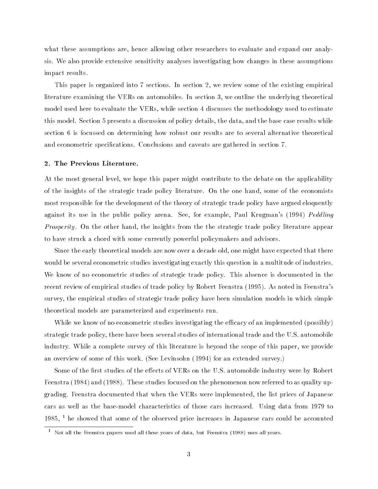what these assumptions are, hence allowing other researchers to evaluate and expand our analysis. We also provide extensive sensitivity analyses investigating how changes in these assumptions impact results.

This paper is organized into 7 sections. In section 2, we review some of the existing empirical literature examining the VERs on automobiles. In section 3, we outline the underlying theoretical model used here to evaluate the VERs, while section 4 discusses the methodology used to estimate this model. Section 5 presents a discussion of policy details, the data, and the base case results while section 6 is focussed on determining how robust our results are to several alternative theoretical and econometric specifications. Conclusions and caveats are gathered in section 7.

## 2. The Previous Literature.

At the most general level, we hope this paper might contribute to the debate on the applicability of the insights of the strategic trade policy literature. On the one hand, some of the economists most responsible for the development of the theory of strategic trade policy have argued eloquently against its use in the public policy arena. See, for example, Paul Krugman's (1994) Peddling Prosperity. On the other hand, the insights from the the strategic trade policy literature appear to have struck a chord with some currently powerful policymakers and advisors.

Since the early theoretical models are now over a decade old, one might have expected that there would be several econometric studies investigating exactly this question in a multitude of industries. We know of no econometric studies of strategic trade policy. This absence is documented in the recent review of empirical studies of trade policy by Robert Feenstra (1995). As noted in Feenstra's survey, the empirical studies of strategic trade policy have been simulation models in which simple theoretical models are parameterized and experiments run.

While we know of no econometric studies investigating the efficacy of an implemented (possibly) strategic trade policy, there have been several studies of international trade and the U.S. automobile industry. While a complete survey of this literature is beyond the scope of this paper, we provide an overview of some of this work. (See Levinsohn (1994) for an extended survey.)

Some of the first studies of the effects of VERs on the U.S. automobile industry were by Robert Feenstra (1984) and (1988). These studies focused on the phenomenon now referred to as quality upgrading. Feenstra documented that when the VERs were implemented, the list prices of Japanese cars as well as the base-model characteristics of those cars increased. Using data from 1979 to  $1985$ , <sup>1</sup> he showed that some of the observed price increases in Japanese cars could be accounted

<sup>1</sup> Not all the Feenstra papers used all these years of data, but Feenstra (1988) uses all years.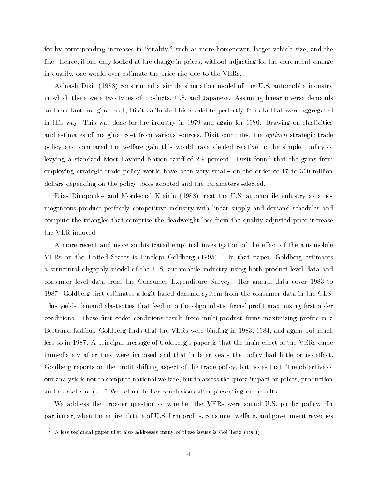for by corresponding increases in "quality," such as more horsepower, larger vehicle size, and the like. Hence, if one only looked at the change in prices, without adjusting for the concurrent change in quality, one would over-estimate the price rise due to the VERs.

Avinash Dixit (1988) constructed a simple simulation model of the U.S. automobile industry in which there were two types of products, U.S. and Japanese. Assuming linear inverse demands and constant marginal cost, Dixit calibrated his model to perfectly fit data that were aggregated in this way. This was done for the industry in 1979 and again for 1980. Drawing on elasticities and estimates of marginal cost from various sources, Dixit computed the *optimal* strategic trade policy and compared the welfare gain this would have yielded relative to the simpler policy of levying a standard Most Favored Nation tariff of 2.9 percent. Dixit found that the gains from employing strategic trade policy would have been very small- on the order of 17 to 300 million dollars depending on the policy tools adopted and the parameters selected.

Elias Dinopoulos and Mordechai Kreinin (1988) treat the U.S. automobile industry as a homogeneous product perfectly competitive industry with linear supply and demand schedules and compute the triangles that comprise the deadweight loss from the quality-adjusted price increase the VER induced.

A more recent and more sophisticated empirical investigation of the effect of the automobile VERs on the United States is Pinelopi Goldberg (1995).2 In that paper, Goldberg estimates a structural oligopoly model of the U.S. automobile industry using both product-level data and consumer level data from the Consumer Expenditure Survey. Her annual data cover 1983 to 1987. Goldberg first estimates a logit-based demand system from the consumer data in the CES. This yields demand elasticities that feed into the oligopolistic firms' profit maximizing first order conditions. These first order conditions result from multi-product firms maximizing profits in a Bertrand fashion. Goldberg finds that the VERs were binding in 1983, 1984, and again but much less so in 1987. A principal message of Goldberg's paper is that the main effect of the VERs came immediately after they were imposed and that in later years the policy had little or no effect. Goldberg reports on the profit shifting aspect of the trade policy, but notes that "the objective of our analysis is not to compute national welfare, but to assess the quota impact on prices, production and market shares..." We return to her conclusions after presenting our results.

We address the broader question of whether the VERs were sound U.S. public policy. In particular, when the entire picture of U.S. firm profits, consumer welfare, and government revenues

<sup>2</sup> A less technical paper that also addresses many of these issues is Goldberg (1994).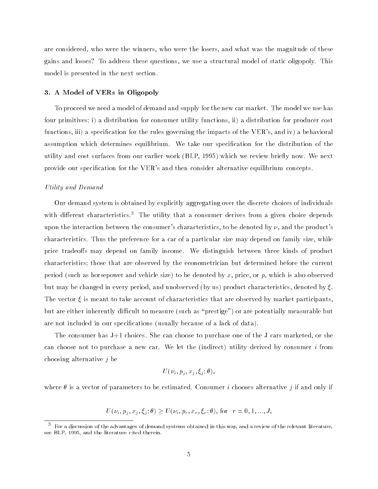are considered, who were the winners, who were the losers, and what was the magnitude of these gains and losses? To address these questions, we use a structural model of static oligopoly. This model is presented in the next section.

#### 3. A Model of VERs in Oligopoly

To proceed we need a model of demand and supply for the new car market. The model we use has four primitives; i) a distribution for consumer utility functions, ii) a distribution for producer cost functions, iii) a specification for the rules governing the impacts of the VER's, and iv) a behavioral assumption which determines equilibrium. We take our specification for the distribution of the utility and cost surfaces from our earlier work (BLP, 1995) which we review briefly now. We next provide our specification for the VER's and then consider alternative equilibrium concepts.

#### Utility and Demand

Our demand system is obtained by explicitly aggregating over the discrete choices of individuals with different characteristics.<sup>3</sup> The utility that a consumer derives from a given choice depends upon the interaction between the consumer's characteristics, to be denoted by  $\nu$ , and the product's characteristics. Thus the preference for a car of a particular size may depend on family size, while price tradeoffs may depend on family income. We distinguish between three kinds of product characteristics; those that are observed by the econometrician but determined before the current period (such as horsepower and vehicle size) to be denoted by x, price, or  $p$ , which is also observed but may be changed in every period, and unobserved (by us) product characteristics, denoted by  $\xi$ . The vector  $\xi$  is meant to take account of characteristics that are observed by market participants. but are either inherently difficult to measure (such as "prestige") or are potentially measurable but are not included in our specications (usually because of a lack of data).

The consumer has J+1 choices. She can choose to purchase one of the J cars marketed, or she can choose not to purchase a new car. We let the (indirect) utility derived by consumer  $i$  from choosing alternative  $j$  be

$$
U(\nu_i, p_j, x_j, \xi_j; \theta),
$$

where  $\theta$  is a vector of parameters to be estimated. Consumer i chooses alternative j if and only if

$$
U(\nu_i, p_j, x_j, \xi_j; \theta) \ge U(\nu_i, p_r, x_r, \xi_r; \theta)
$$
, for  $r = 0, 1, ..., J$ ,

 $^\circ$  For a discussion of the advantages of demand systems obtained in this way, and a review of the relevant literature, see BLP, 1995, and the literature cited therein.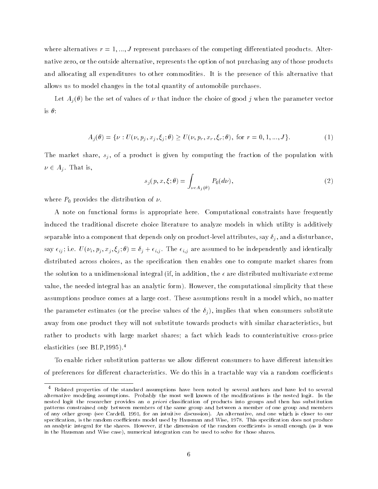where alternatives  $r = 1, ..., J$  represent purchases of the competing differentiated products. Alternative zero, or the outside alternative, represents the option of not purchasing any of those products and allocating all expenditures to other commodities. It is the presence of this alternative that allows us to model changes in the total quantity of automobile purchases.

Let  $A_i(\theta)$  be the set of values of  $\nu$  that induce the choice of good j when the parameter vector is  $\theta$ :

$$
A_j(\theta) = \{ \nu : U(\nu, p_j, x_j, \xi_j; \theta) \ge U(\nu, p_r, x_r, \xi_r; \theta), \text{ for } r = 0, 1, ..., J \}. \tag{1}
$$

The market share,  $s_j$ , of a product is given by computing the fraction of the population with 2 2 Aj . That is, 1990

$$
s_j(p, x, \xi; \theta) = \int_{\nu \in A_j(\theta)} P_0(d\nu), \qquad (2)
$$

where  $P_0$  provides the distribution of  $\nu$ .

A note on functional forms is appropriate here. Computational constraints have frequently induced the traditional discrete choice literature to analyze models in which utility is additively separable into a component that depends only on product-level attributes, say  $\delta_j$ , and a disturbance, say  $\epsilon_{ij}$ ; i.e.  $U(\nu_i, p_j, x_j, \xi_j; \theta) = \delta_j + \epsilon_{i,j}$ . The  $\epsilon_{i,j}$  are assumed to be independently and identically distributed across choices, as the specification then enables one to compute market shares from the solution to a unidimensional integral (if, in addition, the  $\epsilon$  are distributed multivariate extreme value, the needed integral has an analytic form). However, the computational simplicity that these assumptions produce comes at a large cost. These assumptions result in a model which, no matter the parameter estimates (or the precise values of the  $\delta_j$ ), implies that when consumers substitute away from one product they will not substitute towards products with similar characteristics, but rather to products with large market shares; a fact which leads to counterintuitive cross-price elasticities (see BLP,1995).4

To enable richer substitution patterns we allow different consumers to have different intensities of preferences for different characteristics. We do this in a tractable way via a random coefficients

<sup>4</sup> Related properties of the standard assumptions have been noted by several authors and have led to several alternative modeling assumptions. Probably the most well known of the modifications is the nested logit. In the nested logit the researcher provides an a priori classification of products into groups and then has substitution patterns constrained only between members of the same group and between a member of one group and members of any other group (see Cardell, 1991, for an intuitive discussion). An alternative, and one which is closer to our specification, is the random coefficients model used by Hausman and Wise, 1978. This specification does not produce an analytic integral for the shares. However, if the dimension of the random coefficients is small enough (as it was in the Hausman and Wise case), numerical integration can be used to solve for those shares.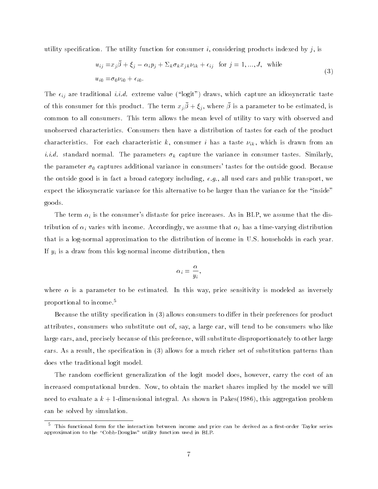utility specification. The utility function for consumer i, considering products indexed by j, is

$$
u_{ij} = x_j \overline{\beta} + \xi_j - \alpha_i p_j + \Sigma_k \sigma_k x_{jk} \nu_{ik} + \epsilon_{ij} \text{ for } j = 1, ..., J, \text{ while}
$$
  
\n
$$
u_{i0} = \sigma_0 \nu_{i0} + \epsilon_{i0}.
$$
\n(3)

The  $\epsilon_{ij}$  are traditional i.i.d. extreme value ("logit") draws, which capture an idiosyncratic taste of this consumer for this product. The term  $x_j p \pm \zeta_j$ , where  $p$  is a parameter to be estimated, is common to all consumers. This term allows the mean level of utility to vary with observed and unobserved characteristics. Consumers then have a distribution of tastes for each of the product characteristics. For each characteristic k, consumer i has a taste  $\nu_{ik}$ , which is drawn from an *i.i.d.* standard normal. The parameters  $\sigma_k$  capture the variance in consumer tastes. Similarly, the parameter  $\sigma_0$  captures additional variance in consumers' tastes for the outside good. Because the outside good is in fact a broad category including, e.g., all used cars and public transport, we expect the idiosyncratic variance for this alternative to be larger than the variance for the "inside" goods.

The term  $\alpha_i$  is the consumer's distaste for price increases. As in BLP, we assume that the distribution of  $\alpha_i$  varies with income. Accordingly, we assume that  $\alpha_i$  has a time-varying distribution that is a log-normal approximation to the distribution of income in U.S. households in each year. If  $y_i$  is a draw from this log-normal income distribution, then

$$
\alpha_i = \frac{\alpha}{y_i},
$$

where  $\alpha$  is a parameter to be estimated. In this way, price sensitivity is modeled as inversely proportional to income.<sup>5</sup>

Because the utility specification in  $(3)$  allows consumers to differ in their preferences for product attributes, consumers who substitute out of, say, a large car, will tend to be consumers who like large cars, and, precisely because of this preference, will substitute disproportionately to other large cars. As a result, the specication in (3) allows for a much richer set of substitution patterns than does vthe traditional logit model.

The random coefficient generalization of the logit model does, however, carry the cost of an increased computational burden. Now, to obtain the market shares implied by the model we will need to evaluate a  $k + 1$ -dimensional integral. As shown in Pakes(1986), this aggregation problem can be solved by simulation.

<sup>5</sup> This functional form for the interaction between income and price can be derived as a rst-order Taylor series approximation to the "Cobb-Douglas" utility function used in BLP.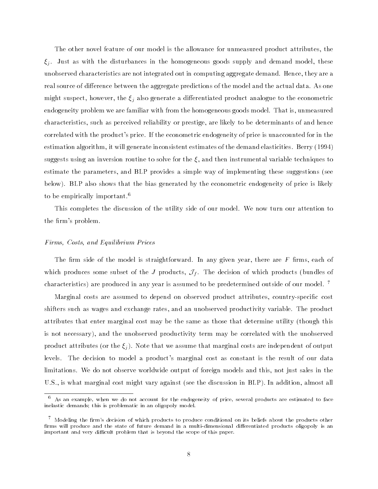The other novel feature of our model is the allowance for unmeasured product attributes, the  $\xi_i$ . Just as with the disturbances in the homogeneous goods supply and demand model, these unobserved characteristics are not integrated out in computing aggregate demand. Hence, they are a real source of difference between the aggregate predictions of the model and the actual data. As one might suspect, however, the  $\xi_j$  also generate a differentiated product analogue to the econometric endogeneity problem we are familiar with from the homogeneous goods model. That is, unmeasured characteristics, such as perceived reliability or prestige, are likely to be determinants of and hence correlated with the product's price. If the econometric endogeneity of price is unaccounted for in the estimation algorithm, it will generate inconsistent estimates of the demand elasticities. Berry (1994) suggests using an inversion routine to solve for the  $\xi$ , and then instrumental variable techniques to estimate the parameters, and BLP provides a simple way of implementing these suggestions (see below). BLP also shows that the bias generated by the econometric endogeneity of price is likely to be empirically important.<sup>6</sup>

This completes the discussion of the utility side of our model. We now turn our attention to the firm's problem.

### Firms, Costs, and Equilibrium Prices

The firm side of the model is straightforward. In any given year, there are  $F$  firms, each of which produces some subset of the J products,  $\mathbf{y}$  . The decision of which products (bundles of  $\mathbf{y}$ characteristics) are produced in any year is assumed to be predetermined outside of our model. <sup>7</sup>

Marginal costs are assumed to depend on observed product attributes, country-specific cost shifters such as wages and exchange rates, and an unobserved productivity variable. The product attributes that enter marginal cost may be the same as those that determine utility (though this is not necessary), and the unobserved productivity term may be correlated with the unobserved product attributes (or the  $\xi_j$ ). Note that we assume that marginal costs are independent of output levels. The decision to model a product's marginal cost as constant is the result of our data limitations. We do not observe worldwide output of foreign models and this, not just sales in the U.S., is what marginal cost might vary against (see the discussion in BLP). In addition, almost all

 $^{\circ}$  As an example, when we do not account for the endogeneity of price, several products are estimated to face inelastic demands; this is problematic in an oligopoly model.

<sup>7</sup> Modeling the rm's decision of which products to produce conditional on its beliefs about the products other firms will produce and the state of future demand in a multi-dimensional differentiated products oligopoly is an important and very difficult problem that is beyond the scope of this paper.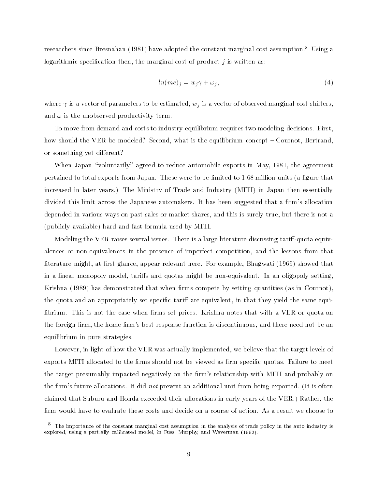researchers since Bresnahan (1981) have adopted the constant marginal cost assumption.<sup>8</sup> Using a logarithmic specification then, the marginal cost of product  $j$  is written as:

$$
ln(mc)_j = w_j \gamma + \omega_j,\tag{4}
$$

where  $\gamma$  is a vector of parameters to be estimated,  $w_j$  is a vector of observed marginal cost shifters. and  $\omega$  is the unobserved productivity term.

To move from demand and costs to industry equilibrium requires two modeling decisions. First, how should the VER be modeled? Second, what is the equilibrium concept  ${\sim}$  Cournot, Bertrand. or something yet different?

When Japan "voluntarily" agreed to reduce automobile exports in May, 1981, the agreement pertained to total exports from Japan. These were to be limited to 1.68 million units (a figure that increased in later years.) The Ministry of Trade and Industry (MITI) in Japan then essentially divided this limit across the Japanese automakers. It has been suggested that a firm's allocation depended in various ways on past sales or market shares, and this is surely true, but there is not a (publicly available) hard and fast formula used by MITI.

Modeling the VER raises several issues. There is a large literature discussing tariff-quota equivalences or non-equivalences in the presence of imperfect competition, and the lessons from that literature might, at first glance, appear relevant here. For example, Bhagwati (1969) showed that in a linear monopoly model, tariffs and quotas might be non-equivalent. In an oligopoly setting, Krishna (1989) has demonstrated that when firms compete by setting quantities (as in Cournot), the quota and an appropriately set specific tariff are equivalent, in that they yield the same equilibrium. This is not the case when firms set prices. Krishna notes that with a VER or quota on the foreign firm, the home firm's best response function is discontinuous, and there need not be an equilibrium in pure strategies.

However, in light of how the VER was actually implemented, we believe that the target levels of exports MITI allocated to the firms should not be viewed as firm specific quotas. Failure to meet the target presumably impacted negatively on the firm's relationship with MITI and probably on the firm's future allocations. It did not prevent an additional unit from being exported. (It is often claimed that Suburu and Honda exceeded their allocations in early years of the VER.) Rather, the firm would have to evaluate these costs and decide on a course of action. As a result we choose to

 $^\circ$  The importance of the constant marginal cost assumption in the analysis of trade policy in the auto industry is explored, using a partially calibrated model, in Fuss, Murphy, and Waverman (1992).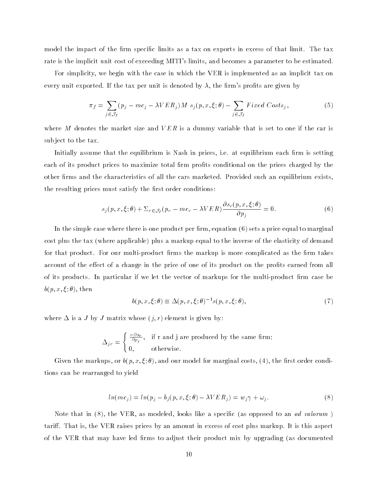model the impact of the firm specific limits as a tax on exports in excess of that limit. The tax rate is the implicit unit cost of exceeding MITI's limits, and becomes a parameter to be estimated.

For simplicity, we begin with the case in which the VER is implemented as an implicit tax on every unit exported. If the tax per unit is denoted by  $\lambda$ , the firm's profits are given by

$$
\pi_f = \sum_{j \in \mathcal{J}_f} (p_j - mc_j - \lambda V E R_j) M s_j(p, x, \xi; \theta) - \sum_{j \in \mathcal{J}_f} Fixed \text{Costs}_j,
$$
\n(5)

where M denotes the market size and  $VER$  is a dummy variable that is set to one if the car is sub ject to the tax.

Initially assume that the equilibrium is Nash in prices, i.e. at equilibrium each firm is setting each of its product prices to maximize total firm profits conditional on the prices charged by the other firms and the characteristics of all the cars marketed. Provided such an equilibrium exists, the resulting prices must satisfy the first order conditions:

$$
s_j(p, x, \xi; \theta) + \Sigma_{r \in \mathcal{J}_f}(p_r - mc_r - \lambda VER) \frac{\partial s_r(p, x, \xi; \theta)}{\partial p_j} = 0.
$$
 (6)

In the simple case where there is one product per firm, equation (6) sets a price equal to marginal cost plus the tax (where applicable) plus a markup equal to the inverse of the elasticity of demand for that product. For our multi-product firms the markup is more complicated as the firm takes account of the effect of a change in the price of one of its product on the profits earned from all of its products. In particular if we let the vector of markups for the multi-product firm case be  $b(p, x, \xi; \theta)$ , then

$$
b(p, x, \xi; \theta) \equiv \Delta(p, x, \xi; \theta)^{-1} s(p, x, \xi; \theta), \tag{7}
$$

where  $\Delta$  is a J by J matrix whose  $(j, r)$  element is given by:

$$
\Delta_{jr} = \begin{cases} \frac{-\partial s_r}{\partial p_j}, & \text{if } r \text{ and } j \text{ are produced by the same firm;} \\ 0, & \text{otherwise.} \end{cases}
$$

Given the markups, or  $b(p, x, \xi; \theta)$ , and our model for marginal costs, (4), the first order conditions can be rearranged to yield

$$
ln(mc_j) = ln(p_j - b_j(p, x, \xi; \theta) - \lambda VER_j) = w_j \gamma + \omega_j.
$$
\n(8)

Note that in  $(8)$ , the VER, as modeled, looks like a specific (as opposed to an *ad valorum*) tariff. That is, the VER raises prices by an amount in excess of cost plus markup. It is this aspect of the VER that may have led firms to adjust their product mix by upgrading (as documented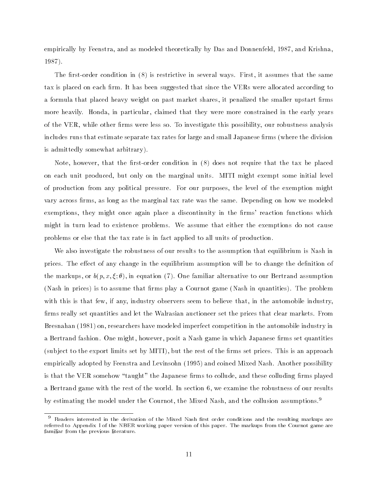empirically by Feenstra, and as modeled theoretically by Das and Donnenfeld, 1987, and Krishna, 1987).

The first-order condition in  $(8)$  is restrictive in several ways. First, it assumes that the same tax is placed on each firm. It has been suggested that since the VERs were allocated according to a formula that placed heavy weight on past market shares, it penalized the smaller upstart firms more heavily. Honda, in particular, claimed that they were more constrained in the early years of the VER, while other firms were less so. To investigate this possibility, our robustness analysis includes runs that estimate separate tax rates for large and small Japanese firms (where the division is admittedly somewhat arbitrary).

Note, however, that the first-order condition in (8) does not require that the tax be placed on each unit produced, but only on the marginal units. MITI might exempt some initial level of production from any political pressure. For our purposes, the level of the exemption might vary across firms, as long as the marginal tax rate was the same. Depending on how we modeled exemptions, they might once again place a discontinuity in the firms' reaction functions which might in turn lead to existence problems. We assume that either the exemptions do not cause problems or else that the tax rate is in fact applied to all units of production.

We also investigate the robustness of our results to the assumption that equilibrium is Nash in prices. The effect of any change in the equilibrium assumption will be to change the definition of the markups, or  $b(p, x, \xi; \theta)$ , in equation (7). One familiar alternative to our Bertrand assumption (Nash in prices) is to assume that firms play a Cournot game (Nash in quantities). The problem with this is that few, if any, industry observers seem to believe that, in the automobile industry, firms really set quantities and let the Walrasian auctioneer set the prices that clear markets. From Bresnahan (1981) on, researchers have modeled imperfect competition in the automobile industry in a Bertrand fashion. One might, however, posit a Nash game in which Japanese firms set quantities (subject to the export limits set by MITI), but the rest of the firms set prices. This is an approach empirically adopted by Feenstra and Levinsohn (1995) and coined Mixed Nash. Another possibility is that the VER somehow "taught" the Japanese firms to collude, and these colluding firms played a Bertrand game with the rest of the world. In section 6, we examine the robustness of our results by estimating the model under the Cournot, the Mixed Nash, and the collusion assumptions.<sup>9</sup>

<sup>&</sup>lt;sup>9</sup> Readers interested in the derivation of the Mixed Nash first order conditions and the resulting markups are Readers interested in the derivation of the Mixed Nash rst order conditions and the resulting markups are referred to Appendix I of the NBER working paper version of this paper. The markups from the Cournot game are familiar from the previous literature.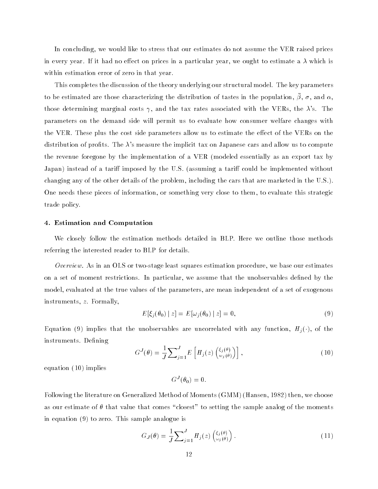In concluding, we would like to stress that our estimates do not assume the VER raised prices in every year. If it had no effect on prices in a particular year, we ought to estimate a  $\lambda$  which is within estimation error of zero in that year.

This completes the discussion of the theory underlying our structural model. The key parameters to be estimated are those characterizing the distribution or tastes in the population,  $\rho$ ,  $\sigma$ , and  $\alpha$ , those determining marginal costs  $\gamma$ , and the tax rates associated with the VERs, the  $\lambda$ 's. The parameters on the demand side will permit us to evaluate how consumer welfare changes with the VER. These plus the cost side parameters allow us to estimate the effect of the VERs on the distribution of profits. The  $\lambda$ 's measure the implicit tax on Japanese cars and allow us to compute the revenue foregone by the implementation of a VER (modeled essentially as an export tax by Japan) instead of a tariff imposed by the U.S. (assuming a tariff could be implemented without changing any of the other details of the problem, including the cars that are marketed in the U.S.). One needs these pieces of information, or something very close to them, to evaluate this strategic trade policy.

#### 4. Estimation and Computation

We closely follow the estimation methods detailed in BLP. Here we outline those methods referring the interested reader to BLP for details.

*Overview.* As in an OLS or two-stage least squares estimation procedure, we base our estimates on a set of moment restrictions. In particular, we assume that the unobservables defined by the model, evaluated at the true values of the parameters, are mean independent of a set of exogenous instruments, z. Formally,

$$
E[\xi_j(\theta_0) | z] = E[\omega_j(\theta_0) | z] = 0,
$$
\n(9)

Equation (9) implies that the unobservables are uncorrelated with any function,  $H_j(\cdot)$ , of the instruments. Defining

$$
G^{J}(\theta) = \frac{1}{J} \sum_{j=1}^{J} E\left[ H_j(z) \begin{pmatrix} \xi_j(\theta) \\ w_j(\theta) \end{pmatrix} \right],
$$
 (10)

equation (10) implies

$$
G^{J}(\theta_0)=0.
$$

Following the literature on Generalized Method of Moments (GMM) (Hansen, 1982) then, we choose as our estimate of  $\theta$  that value that comes "closest" to setting the sample analog of the moments in equation (9) to zero. This sample analogue is

$$
G_J(\theta) = \frac{1}{J} \sum_{j=1}^{J} H_j(z) \begin{pmatrix} \xi_j(\theta) \\ \omega_j(\theta) \end{pmatrix} . \tag{11}
$$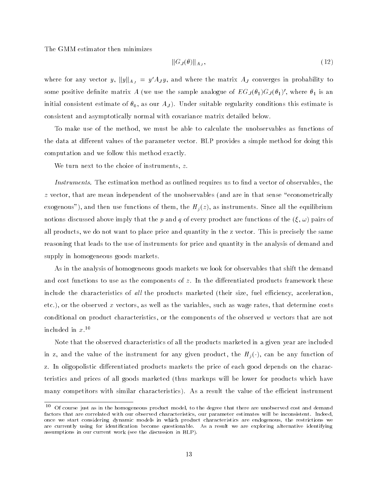The GMM estimator then minimizes

$$
||G_J(\theta)||_{A_J},\tag{12}
$$

where for any vector y,  $||y||_{A_J} = y'A_J y$ , and where the matrix  $A_J$  converges in probability to some positive definite matrix  $A$  (we use the sample analogue of  $L$ GJ( $\sigma_1$ )GJ( $\sigma_1$ ), where  $\sigma_1$  is an initial consistent estimate of  $\theta_0$ , as our  $A_J$ ). Under suitable regularity conditions this estimate is consistent and asymptotically normal with covariance matrix detailed below.

To make use of the method, we must be able to calculate the unobservables as functions of the data at different values of the parameter vector. BLP provides a simple method for doing this computation and we follow this method exactly.

We turn next to the choice of instruments, z.

Instruments. The estimation method as outlined requires us to find a vector of observables, the  $z$  vector, that are mean independent of the unobservables (and are in that sense "econometrically exogenous"), and then use functions of them, the  $H_j(z)$ , as instruments. Since all the equilibrium notions discussed above imply that the p and q of every product are functions of the  $(\xi, \omega)$  pairs of all products, we do not want to place price and quantity in the z vector. This is precisely the same reasoning that leads to the use of instruments for price and quantity in the analysis of demand and supply in homogeneous goods markets.

As in the analysis of homogeneous goods markets we look for observables that shift the demand and cost functions to use as the components of  $z$ . In the differentiated products framework these include the characteristics of all the products marketed (their size, fuel efficiency, acceleration, etc.), or the observed  $x$  vectors, as well as the variables, such as wage rates, that determine costs conditional on product characteristics, or the components of the observed w vectors that are not included in  $x<sup>10</sup>$ 

Note that the observed characteristics of all the products marketed in a given year are included in z, and the value of the instrument for any given product, the  $H_j(\cdot)$ , can be any function of z. In oligopolistic differentiated products markets the price of each good depends on the characteristics and prices of all goods marketed (thus markups will be lower for products which have many competitors with similar characteristics). As a result the value of the efficient instrument

<sup>10</sup> Of course just as in the homogeneous product model, to the degree that there are unobserved cost and demand factors that are correlated with our observed characteristics, our parameter estimates will be inconsistent. Indeed, once we start considering dynamic models in which product characteristics are endogenous, the restrictions we are currently using for identification become questionable. As a result we are exploring alternative identifying assumptions in our current work (see the discussion in BLP).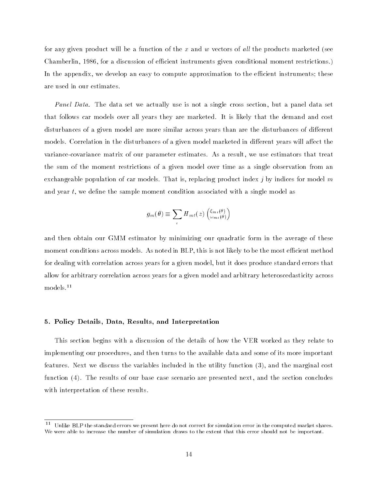for any given product will be a function of the x and w vectors of all the products marketed (see Chamberlin, 1986, for a discussion of efficient instruments given conditional moment restrictions.) In the appendix, we develop an easy to compute approximation to the efficient instruments; these are used in our estimates.

Panel Data. The data set we actually use is not a single cross section, but a panel data set that follows car models over all years they are marketed. It is likely that the demand and cost disturbances of a given model are more similar across years than are the disturbances of different models. Correlation in the disturbances of a given model marketed in different years will affect the variance-covariance matrix of our parameter estimates. As a result, we use estimators that treat the sum of the moment restrictions of a given model over time as a single observation from an exchangeable population of car models. That is, replacing product index  $j$  by indices for model  $m$ and year t, we define the sample moment condition associated with a single model as

$$
g_m(\theta) \equiv \sum_{i} H_{mt}(z) \left( \begin{smallmatrix} \xi_{mt}(\theta) \\ \omega_{mt}(\theta) \end{smallmatrix} \right)
$$

and then obtain our GMM estimator by minimizing our quadratic form in the average of these moment conditions across models. As noted in BLP, this is not likely to be the most efficient method for dealing with correlation across years for a given model, but it does produce standard errors that allow for arbitrary correlation across years for a given model and arbitrary heteroscedasticity across models.11

## 5. Policy Details, Data, Results, and Interpretation

This section begins with a discussion of the details of how the VER worked as they relate to implementing our procedures, and then turns to the available data and some of its more important features. Next we discuss the variables included in the utility function (3), and the marginal cost function (4). The results of our base case scenario are presented next, and the section concludes with interpretation of these results.

 $11$  $^{\circ}$  Unlike BLP the standard errors we present here do not correct for simulation error in the computed market shares. We were able to increase the number of simulation draws to the extent that this error should not be important.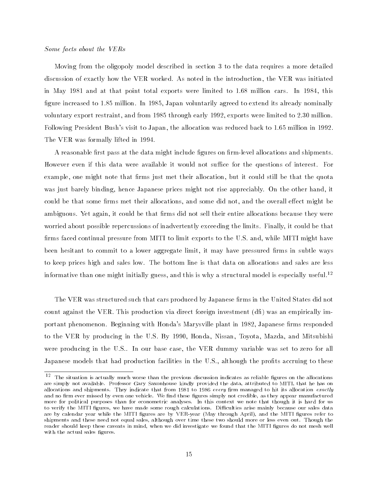#### Some facts about the VERs

Moving from the oligopoly model described in section 3 to the data requires a more detailed discussion of exactly how the VER worked. As noted in the introduction, the VER was initiated in May 1981 and at that point total exports were limited to 1.68 million cars. In 1984, this figure increased to 1.85 million. In 1985, Japan voluntarily agreed to extend its already nominally voluntary export restraint, and from 1985 through early 1992, exports were limited to 2.30 million. Following President Bush's visit to Japan, the allocation was reduced back to 1.65 million in 1992. The VER was formally lifted in 1994.

A reasonable first pass at the data might include figures on firm-level allocations and shipments. However even if this data were available it would not suffice for the questions of interest. For example, one might note that firms just met their allocation, but it could still be that the quota was just barely binding, hence Japanese prices might not rise appreciably. On the other hand, it could be that some firms met their allocations, and some did not, and the overall effect might be ambiguous. Yet again, it could be that firms did not sell their entire allocations because they were worried about possible repercussions of inadvertently exceeding the limits. Finally, it could be that firms faced continual pressure from MITI to limit exports to the U.S. and, while MITI might have been hesitant to commit to a lower aggregate limit, it may have pressured firms in subtle ways to keep prices high and sales low. The bottom line is that data on allocations and sales are less informative than one might initially guess, and this is why a structural model is especially useful.<sup>12</sup>

The VER was structured such that cars produced by Japanese firms in the United States did not count against the VER. This production via direct foreign investment (dfi) was an empirically important phenomenon. Beginning with Honda's Marysville plant in 1982, Japanese firms responded to the VER by producing in the U.S. By 1990, Honda, Nissan, Toyota, Mazda, and Mitsubishi were producing in the U.S.. In our base case, the VER dummy variable was set to zero for all Japanese models that had production facilities in the U.S., although the profits accruing to these

 $^{\circ}$  . The situation is actually much worse than the previous discussion indicates as reliable figures on the allocations are simply not available. Professor Gary Saxonhouse kindly provided the data, attributed to MITI, that he has on allocations and shipments. They indicate that from 1981 to 1986 every firm managed to hit its allocation exactly and no firm ever missed by even one vehicle. We find these figures simply not credible, as they appear manufactured more for political purposes than for econometric analyses. In this context we note that though it is hard for us to verify the MITI figures, we have made some rough calculations. Difficulties arise mainly because our sales data are by calendar year while the MITI figures are by VER-year (May through April), and the MITI figures refer to shipments and these need not equal sales, although over time these two should more or less even out. Though the reader should keep these caveats in mind, when we did investigate we found that the MITI gures do not mesh well with the actual sales figures.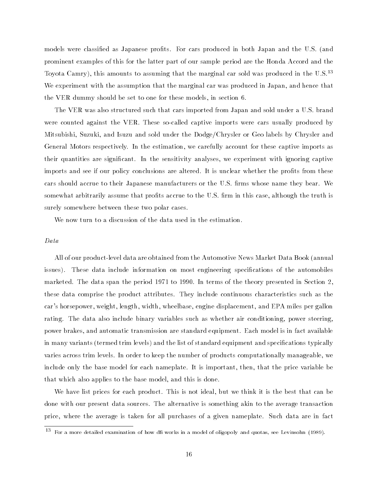models were classified as Japanese profits. For cars produced in both Japan and the U.S. (and prominent examples of this for the latter part of our sample period are the Honda Accord and the Toyota Camry), this amounts to assuming that the marginal car sold was produced in the U.S.<sup>13</sup> We experiment with the assumption that the marginal car was produced in Japan, and hence that the VER dummy should be set to one for these models, in section 6.

The VER was also structured such that cars imported from Japan and sold under a U.S. brand were counted against the VER. These so-called captive imports were cars usually produced by Mitsubishi, Suzuki, and Isuzu and sold under the Dodge/Chrysler or Geo labels by Chrysler and General Motors respectively. In the estimation, we carefully account for these captive imports as their quantities are signicant. In the sensitivity analyses, we experiment with ignoring captive imports and see if our policy conclusions are altered. It is unclear whether the profits from these cars should accrue to their Japanese manufacturers or the U.S. firms whose name they bear. We somewhat arbitrarily assume that profits accrue to the U.S. firm in this case, although the truth is surely somewhere between these two polar cases.

We now turn to a discussion of the data used in the estimation.

#### Data

All of our product-level data are obtained from the Automotive News Market Data Book (annual issues). These data include information on most engineering specifications of the automobiles marketed. The data span the period 1971 to 1990. In terms of the theory presented in Section 2, these data comprise the product attributes. They include continuous characteristics such as the car's horsepower, weight, length, width, wheelbase, engine displacement, and EPA miles per gallon rating. The data also include binary variables such as whether air conditioning, power steering, power brakes, and automatic transmission are standard equipment. Each model is in fact available in many variants (termed trim levels) and the list of standard equipment and specications typically varies across trim levels. In order to keep the number of products computationally manageable, we include only the base model for each nameplate. It is important, then, that the price variable be that which also applies to the base model, and this is done.

We have list prices for each product. This is not ideal, but we think it is the best that can be done with our present data sources. The alternative is something akin to the average transaction price, where the average is taken for all purchases of a given nameplate. Such data are in fact

<sup>13</sup> For a more detailed examination of how dfi works in a model of oligopoly and quotas, see Levinsohn (1989).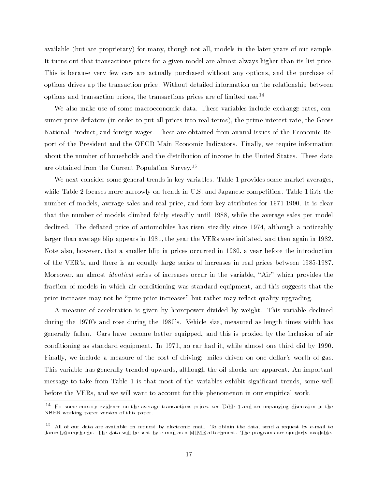available (but are proprietary) for many, though not all, models in the later years of our sample. It turns out that transactions prices for a given model are almost always higher than its list price. This is because very few cars are actually purchased without any options, and the purchase of options drives up the transaction price. Without detailed information on the relationship between options and transaction prices, the transactions prices are of limited use.14

We also make use of some macroeconomic data. These variables include exchange rates, consumer price deflators (in order to put all prices into real terms), the prime interest rate, the Gross National Product, and foreign wages. These are obtained from annual issues of the Economic Report of the President and the OECD Main Economic Indicators. Finally, we require information about the number of households and the distribution of income in the United States. These data are obtained from the Current Population Survey.15

We next consider some general trends in key variables. Table 1 provides some market averages while Table 2 focuses more narrowly on trends in U.S. and Japanese competition. Table 1 lists the number of models, average sales and real price, and four key attributes for 1971-1990. It is clear that the number of models climbed fairly steadily until 1988, while the average sales per model declined. The deflated price of automobiles has risen steadily since 1974, although a noticeably larger than average blip appears in 1981, the year the VERs were initiated, and then again in 1982. Note also, however, that a smaller blip in prices occurred in 1980, a year before the introduction of the VER's, and there is an equally large series of increases in real prices between 1985-1987. Moreover, an almost *identical* series of increases occur in the variable, "Air" which provides the fraction of models in which air conditioning was standard equipment, and this suggests that the price increases may not be "pure price increases" but rather may reflect quality upgrading.

A measure of acceleration is given by horsepower divided by weight. This variable declined during the 1970's and rose during the 1980's. Vehicle size, measured as length times width has generally fallen. Cars have become better equipped, and this is proxied by the inclusion of air conditioning as standard equipment. In 1971, no car had it, while almost one third did by 1990. Finally, we include a measure of the cost of driving: miles driven on one dollar's worth of gas. This variable has generally trended upwards, although the oil shocks are apparent. An important message to take from Table 1 is that most of the variables exhibit signicant trends, some well before the VERs, and we will want to account for this phenomenon in our empirical work.

 $^{\circ}$  For some cursory evidence on the average transactions prices, see Table 1 and accompanying discussion in the NBER working paper version of this paper.

<sup>15</sup> All of our data are available on request by electronic mail. To obtain the data, send a request by e-mail to JamesL@umich.edu. The data will be sent by e-mail as a MIME attachment. The programs are similarly available.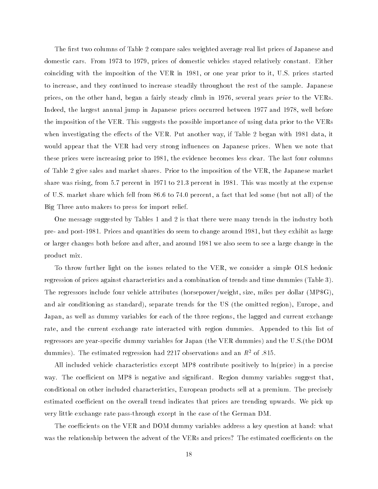The first two columns of Table 2 compare sales weighted average real list prices of Japanese and domestic cars. From 1973 to 1979, prices of domestic vehicles stayed relatively constant. Either coinciding with the imposition of the VER in 1981, or one year prior to it, U.S. prices started to increase, and they continued to increase steadily throughout the rest of the sample. Japanese prices, on the other hand, began a fairly steady climb in 1976, several years prior to the VERs. Indeed, the largest annual jump in Japanese prices occurred between 1977 and 1978, well before the imposition of the VER. This suggests the possible importance of using data prior to the VERs when investigating the effects of the VER. Put another way, if Table 2 began with 1981 data, it would appear that the VER had very strong influences on Japanese prices. When we note that these prices were increasing prior to 1981, the evidence becomes less clear. The last four columns of Table 2 give sales and market shares. Prior to the imposition of the VER, the Japanese market share was rising, from 5.7 percent in 1971 to 21.3 percent in 1981. This was mostly at the expense of U.S. market share which fell from 86.6 to 74.0 percent, a fact that led some (but not all) of the Big Three auto makers to press for import relief.

One message suggested by Tables 1 and 2 is that there were many trends in the industry both pre- and post-1981. Prices and quantities do seem to change around 1981, but they exhibit as large or larger changes both before and after, and around 1981 we also seem to see a large change in the product mix.

To throw further light on the issues related to the VER, we consider a simple OLS hedonic regression of prices against characteristics and a combination of trends and time dummies (Table 3). The regressors include four vehicle attributes (horsepower/weight, size, miles per dollar (MP\$G), and air conditioning as standard), separate trends for the US (the omitted region), Europe, and Japan, as well as dummy variables for each of the three regions, the lagged and current exchange rate, and the current exchange rate interacted with region dummies. Appended to this list of regressors are year-specic dummy variables for Japan (the VER dummies) and the U.S.(the DOM dummies). The estimated regression had 2217 observations and an  $R^2$  of .815.

All included vehicle characteristics except MP\$ contribute positively to ln(price) in a precise way. The coefficient on MP\$ is negative and significant. Region dummy variables suggest that, conditional on other included characteristics, European products sell at a premium. The precisely estimated coefficient on the overall trend indicates that prices are trending upwards. We pick up very little exchange rate pass-through except in the case of the German DM.

The coefficients on the VER and DOM dummy variables address a key question at hand: what was the relationship between the advent of the VERs and prices? The estimated coefficients on the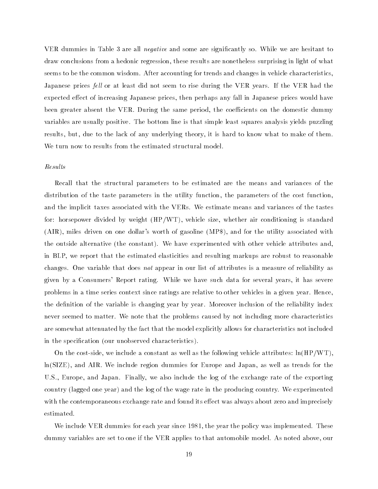VER dummies in Table 3 are all *negative* and some are significantly so. While we are hesitant to draw conclusions from a hedonic regression, these results are nonetheless surprising in light of what seems to be the common wisdom. After accounting for trends and changes in vehicle characteristics, Japanese prices fell or at least did not seem to rise during the VER years. If the VER had the expected effect of increasing Japanese prices, then perhaps any fall in Japanese prices would have been greater absent the VER. During the same period, the coefficients on the domestic dummy variables are usually positive. The bottom line is that simple least squares analysis yields puzzling results, but, due to the lack of any underlying theory, it is hard to know what to make of them. We turn now to results from the estimated structural model.

#### Results

Recall that the structural parameters to be estimated are the means and variances of the distribution of the taste parameters in the utility function, the parameters of the cost function, and the implicit taxes associated with the VERs. We estimate means and variances of the tastes for: horsepower divided by weight (HP/WT), vehicle size, whether air conditioning is standard (AIR), miles driven on one dollar's worth of gasoline (MP\$), and for the utility associated with the outside alternative (the constant). We have experimented with other vehicle attributes and, in BLP, we report that the estimated elasticities and resulting markups are robust to reasonable changes. One variable that does not appear in our list of attributes is a measure of reliability as given by a Consumers' Report rating. While we have such data for several years, it has severe problems in a time series context since ratings are relative to other vehicles in a given year. Hence, the definition of the variable is changing year by year. Moreover inclusion of the reliability index never seemed to matter. We note that the problems caused by not including more characteristics are somewhat attenuated by the fact that the model explicitly allows for characteristics not included in the specication (our unobserved characteristics).

On the cost-side, we include a constant as well as the following vehicle attributes:  $ln(HP/WT)$ . ln(SIZE), and AIR. We include region dummies for Europe and Japan, as well as trends for the U.S., Europe, and Japan. Finally, we also include the log of the exchange rate of the exporting country (lagged one year) and the log of the wage rate in the producing country. We experimented with the contemporaneous exchange rate and found its effect was always about zero and imprecisely estimated.

We include VER dummies for each year since 1981, the year the policy was implemented. These dummy variables are set to one if the VER applies to that automobile model. As noted above, our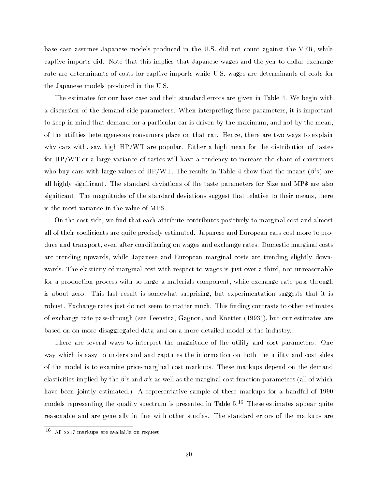base case assumes Japanese models produced in the U.S. did not count against the VER, while captive imports did. Note that this implies that Japanese wages and the yen to dollar exchange rate are determinants of costs for captive imports while U.S. wages are determinants of costs for the Japanese models produced in the U.S.

The estimates for our base case and their standard errors are given in Table 4. We begin with a discussion of the demand side parameters. When interpreting these parameters, it is important to keep in mind that demand for a particular car is driven by the maximum, and not by the mean, of the utilities heterogeneous consumers place on that car. Hence, there are two ways to explain why cars with, say, high HP/WT are popular. Either a high mean for the distribution of tastes for HP/WT or a large variance of tastes will have a tendency to increase the share of consumers who buy cars with large values of  $HP/WT$ . The results in Table 4 show that the means  $(\beta)$ 's) are all highly signicant. The standard deviations of the taste parameters for Size and MP\$ are also signicant. The magnitudes of the standard deviations suggest that relative to their means, there is the most variance in the value of MP\$.

On the cost-side, we find that each attribute contributes positively to marginal cost and almost all of their coefficients are quite precisely estimated. Japanese and European cars cost more to produce and transport, even after conditioning on wages and exchange rates. Domestic marginal costs are trending upwards, while Japanese and European marginal costs are trending slightly downwards. The elasticity of marginal cost with respect to wages is just over a third, not unreasonable for a production process with so large a materials component, while exchange rate pass-through is about zero. This last result is somewhat surprising, but experimentation suggests that it is robust. Exchange rates just do not seem to matter much. This finding contrasts to other estimates of exchange rate pass-through (see Feenstra, Gagnon, and Knetter (1993)), but our estimates are based on on more disaggregated data and on a more detailed model of the industry.

There are several ways to interpret the magnitude of the utility and cost parameters. One way which is easy to understand and captures the information on both the utility and cost sides of the model is to examine price-marginal cost markups. These markups depend on the demand elasticities implied by the  $\beta$ 's and  $\sigma$ 's as well as the marginal cost function parameters (all of which have been jointly estimated.) A representative sample of these markups for a handful of 1990 models representing the quality spectrum is presented in Table 5.<sup>16</sup> These estimates appear quite reasonable and are generally in line with other studies. The standard errors of the markups are

<sup>16</sup> All 2217 markups are available on request.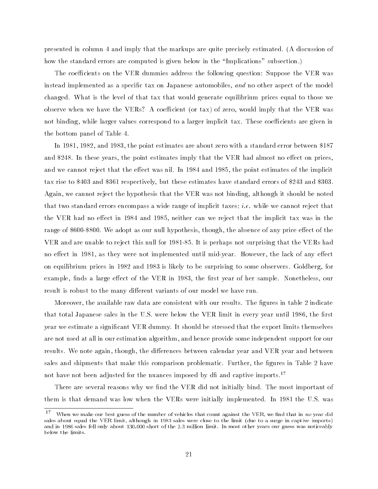presented in column 4 and imply that the markups are quite precisely estimated. (A discussion of how the standard errors are computed is given below in the "Implications" subsection.)

The coefficients on the VER dummies address the following question: Suppose the VER was instead implemented as a specific tax on Japanese automobiles, and no other aspect of the model changed. What is the level of that tax that would generate equilibrium prices equal to those we observe when we have the VERs? A coefficient (or tax) of zero, would imply that the VER was not binding, while larger values correspond to a larger implicit tax. These coefficients are given in the bottom panel of Table 4.

In 1981, 1982, and 1983, the point estimates are about zero with a standard error between \$187 and \$248. In these years, the point estimates imply that the VER had almost no effect on prices. and we cannot reject that the effect was nil. In 1984 and 1985, the point estimates of the implicit tax rise to \$403 and \$361 respectively, but these estimates have standard errors of \$243 and \$303. Again, we cannot reject the hypothesis that the VER was not binding, although it should be noted that two standard errors encompass a wide range of implicit taxes; i.e. while we cannot reject that the VER had no effect in 1984 and 1985, neither can we reject that the implicit tax was in the range of \$600-\$800. We adopt as our null hypothesis, though, the absence of any price effect of the VER and are unable to reject this null for 1981-85. It is perhaps not surprising that the VERs had no effect in 1981, as they were not implemented until mid-year. However, the lack of any effect on equilibrium prices in 1982 and 1983 is likely to be surprising to some observers. Goldberg, for example, finds a large effect of the VER in 1983, the first year of her sample. Nonetheless, our result is robust to the many different variants of our model we have run.

Moreover, the available raw data are consistent with our results. The figures in table 2 indicate that total Japanese sales in the U.S. were below the VER limit in every year until 1986, the first year we estimate a signicant VER dummy. It should be stressed that the export limits themselves are not used at all in our estimation algorithm, and hence provide some independent support for our results. We note again, though, the differences between calendar year and VER year and between sales and shipments that make this comparison problematic. Further, the figures in Table 2 have not have not been adjusted for the nuances imposed by dfi and captive imports.<sup>17</sup>

There are several reasons why we find the VER did not initially bind. The most important of them is that demand was low when the VERs were initially implemented. In 1981 the U.S. was

 $^\circ$  . When we make our best guess of the number of vehicles that count against the VER, we find that in no year did sales about equal the VER limit, although in 1983 sales were close to the limit (due to a surge in captive imports) and in 1986 sales fell only about 130,000 short of the 2.3 million limit. In most other years our guess was noticeably below the limits.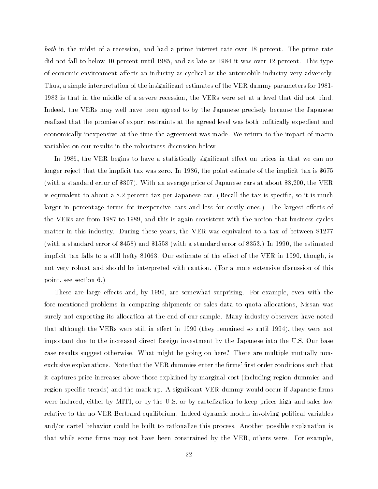both in the midst of a recession, and had a prime interest rate over 18 percent. The prime rate did not fall to below 10 percent until 1985, and as late as 1984 it was over 12 percent. This type of economic environment affects an industry as cyclical as the automobile industry very adversely. Thus, a simple interpretation of the insignicant estimates of the VER dummy parameters for 1981- 1983 is that in the middle of a severe recession, the VERs were set at a level that did not bind. Indeed, the VERs may well have been agreed to by the Japanese precisely because the Japanese realized that the promise of export restraints at the agreed level was both politically expedient and economically inexpensive at the time the agreement was made. We return to the impact of macro variables on our results in the robustness discussion below.

In 1986, the VER begins to have a statistically significant effect on prices in that we can no longer reject that the implicit tax was zero. In 1986, the point estimate of the implicit tax is \$675 (with a standard error of \$307). With an average price of Japanese cars at about \$8,200, the VER is equivalent to about a 8.2 percent tax per Japanese car. (Recall the tax is specic, so it is much larger in percentage terms for inexpensive cars and less for costly ones.) The largest effects of the VERs are from 1987 to 1989, and this is again consistent with the notion that business cycles matter in this industry. During these years, the VER was equivalent to a tax of between \$1277 (with a standard error of \$458) and \$1558 (with a standard error of \$353.) In 1990, the estimated implicit tax falls to a still hefty \$1063. Our estimate of the effect of the VER in 1990, though, is not very robust and should be interpreted with caution. (For a more extensive discussion of this point, see section 6.)

These are large effects and, by 1990, are somewhat surprising. For example, even with the fore-mentioned problems in comparing shipments or sales data to quota allocations, Nissan was surely not exporting its allocation at the end of our sample. Many industry observers have noted that although the VERs were still in effect in 1990 (they remained so until 1994), they were not important due to the increased direct foreign investment by the Japanese into the U.S. Our base case results suggest otherwise. What might be going on here? There are multiple mutually nonexclusive explanations. Note that the VER dummies enter the firms' first order conditions such that it captures price increases above those explained by marginal cost (including region dummies and region-specific trends) and the mark-up. A significant VER dummy would occur if Japanese firms were induced, either by MITI, or by the U.S. or by cartelization to keep prices high and sales low relative to the no-VER Bertrand equilibrium. Indeed dynamic models involving political variables and/or cartel behavior could be built to rationalize this process. Another possible explanation is that while some firms may not have been constrained by the VER, others were. For example,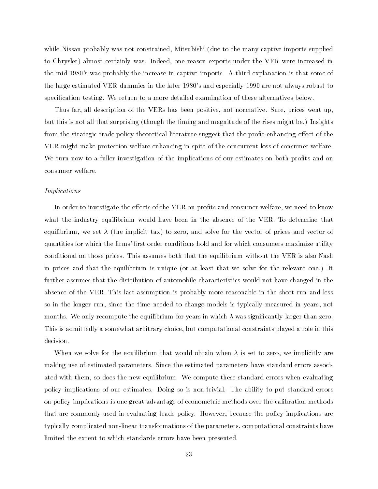while Nissan probably was not constrained, Mitsubishi (due to the many captive imports supplied to Chrysler) almost certainly was. Indeed, one reason exports under the VER were increased in the mid-1980's was probably the increase in captive imports. A third explanation is that some of the large estimated VER dummies in the later 1980's and especially 1990 are not always robust to specification testing. We return to a more detailed examination of these alternatives below.

Thus far, all description of the VERs has been positive, not normative. Sure, prices went up, but this is not all that surprising (though the timing and magnitude of the rises might be.) Insights from the strategic trade policy theoretical literature suggest that the profit-enhancing effect of the VER might make protection welfare enhancing in spite of the concurrent loss of consumer welfare. We turn now to a fuller investigation of the implications of our estimates on both profits and on consumer welfare.

# Implications

In order to investigate the effects of the VER on profits and consumer welfare, we need to know what the industry equilibrium would have been in the absence of the VER. To determine that equilibrium, we set  $\lambda$  (the implicit tax) to zero, and solve for the vector of prices and vector of quantities for which the firms' first order conditions hold and for which consumers maximize utility conditional on those prices. This assumes both that the equilibrium without the VER is also Nash in prices and that the equilibrium is unique (or at least that we solve for the relevant one.) It further assumes that the distribution of automobile characteristics would not have changed in the absence of the VER. This last assumption is probably more reasonable in the short run and less so in the longer run, since the time needed to change models is typically measured in years, not months. We only recompute the equilibrium for years in which  $\lambda$  was significantly larger than zero. This is admittedly a somewhat arbitrary choice, but computational constraints played a role in this decision.

When we solve for the equilibrium that would obtain when  $\lambda$  is set to zero, we implicitly are making use of estimated parameters. Since the estimated parameters have standard errors associated with them, so does the new equilibrium. We compute these standard errors when evaluating policy implications of our estimates. Doing so is non-trivial. The ability to put standard errors on policy implications is one great advantage of econometric methods over the calibration methods that are commonly used in evaluating trade policy. However, because the policy implications are typically complicated non-linear transformations of the parameters, computational constraints have limited the extent to which standards errors have been presented.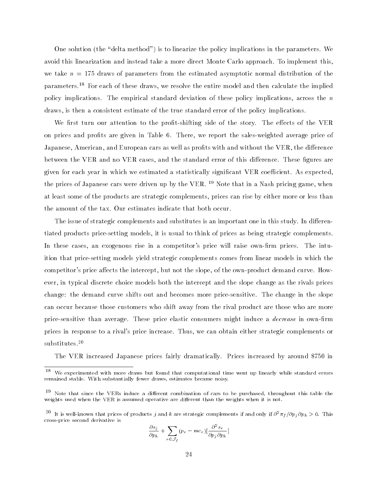One solution (the "delta method") is to linearize the policy implications in the parameters. We avoid this linearization and instead take a more direct Monte Carlo approach. To implement this, we take  $n = 175$  draws of parameters from the estimated asymptotic normal distribution of the parameters.18 For each of these draws, we resolve the entire model and then calculate the implied policy implications. The empirical standard deviation of these policy implications, across the n draws, is then a consistent estimate of the true standard error of the policy implications.

We first turn our attention to the profit-shifting side of the story. The effects of the VER on prices and profits are given in Table 6. There, we report the sales-weighted average price of Japanese, American, and European cars as well as profits with and without the VER, the difference between the VER and no VER cases, and the standard error of this difference. These figures are given for each year in which we estimated a statistically significant VER coefficient. As expected, the prices of Japanese cars were driven up by the VER.<sup>19</sup> Note that in a Nash pricing game, when at least some of the products are strategic complements, prices can rise by either more or less than the amount of the tax. Our estimates indicate that both occur.

The issue of strategic complements and substitutes is an important one in this study. In differentiated products price-setting models, it is usual to think of prices as being strategic complements. In these cases, an exogenous rise in a competitor's price will raise own-firm prices. The intuition that price-setting models yield strategic complements comes from linear models in which the competitor's price affects the intercept, but not the slope, of the own-product demand curve. However, in typical discrete choice models both the intercept and the slope change as the rivals prices change: the demand curve shifts out and becomes more price-sensitive. The change in the slope can occur because those customers who shift away from the rival product are those who are more price-sensitive than average. These price elastic consumers might induce a *decrease* in own-firm prices in response to a rival's price increase. Thus, we can obtain either strategic complements or substitutes.20

The VER increased Japanese prices fairly dramatically. Prices increased by around \$750 in

$$
\frac{\partial s_j}{\partial p_k} + \sum_{r \in \mathcal{J}_f} (p_r - mc_r) \left[ \frac{\partial^2 s_r}{\partial p_j \partial p_k} \right]
$$

<sup>18</sup> We experimented with more draws but found that computational time went up linearly while standard errors remained stable. With substantially fewer draws, estimates became noisy.

 $^\circ$  -Note that since the VERs induce a different combination of cars to be purchased, throughout this table the  $^\circ$ weights used when the VER is assumed operative are different than the weights when it is not.

 $^{-1}$  It is well-known that prices of products  $j$  and  $k$  are strategic complements if and only if  $\partial^2 \pi_f/\partial p_i \partial p_k > 0$ . This cross-price second derivative is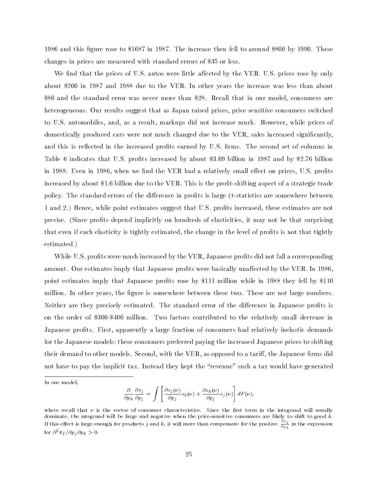1986 and this figure rose to \$1687 in 1987. The increase then fell to around \$800 by 1990. These changes in prices are measured with standard errors of \$35 or less.

We find that the prices of U.S. autos were little affected by the VER. U.S. prices rose by only about \$200 in 1987 and 1988 due to the VER. In other years the increase was less than about \$80 and the standard error was never more than \$28. Recall that in our model, consumers are heterogeneous. Our results suggest that as Japan raised prices, price sensitive consumers switched to U.S. automobiles, and, as a result, markups did not increase much. However, while prices of domestically produced cars were not much changed due to the VER, sales increased signicantly, and this is reflected in the increased profits earned by U.S. firms. The second set of columns in Table 6 indicates that U.S. profits increased by about \$3.09 billion in 1987 and by \$2.76 billion in 1988. Even in 1986, when we find the VER had a relatively small effect on prices, U.S. profits increased by about \$1.6 billion due to the VER. This is the prot-shifting aspect of a strategic trade policy. The standard errors of the difference in profits is large (t-statistics are somewhere between 1 and 2.) Hence, while point estimates suggest that U.S. profits increased, these estimates are not precise. (Since prots depend implicitly on hundreds of elasticities, it may not be that surprising that even if each elasticity is tightly estimated, the change in the level of profits is not that tightly estimated.)

While U.S. profits were much increased by the VER, Japanese profits did not fall a corresponding amount. Our estimates imply that Japanese profits were basically unaffected by the VER. In 1986, point estimates imply that Japanese profits rose by \$111 million while in 1988 they fell by \$110 million. In other years, the figure is somewhere between these two. These are not large numbers. Neither are they precisely estimated. The standard error of the difference in Japanese profits is on the order of \$300-\$400 million. Two factors contributed to the relatively small decrease in Japanese profits. First, apparently a large fraction of consumers had relatively inelastic demands for the Japanese models; these consumers preferred paying the increased Japanese prices to shifting their demand to other models. Second, with the VER, as opposed to a tariff, the Japanese firms did not have to pay the implicit tax. Instead they kept the \revenue" such a tax would have generated

$$
\frac{\partial}{\partial p_k} \frac{\partial s_j}{\partial p_j} = \int \left[ \frac{\partial s_j(\nu)}{\partial p_j} s_k(\nu) + \frac{\partial s_k(\nu)}{\partial p_j} s_j(\nu) \right] dF(\nu),
$$

In our model,

where recall that  $\nu$  is the vector of consumer characteristics. Since the first term in the integrand will usually dominate, the integrand will be large and negative when the price-sensitive consumers are likely to shift to good k. If this effect is large enough for products  $j$  and  $k$ , it will more than compensate for the positive  $\frac{1}{\partial p_k}$  in the expression for  $\partial^2 \pi_f / \partial p_j \partial p_k > 0$ .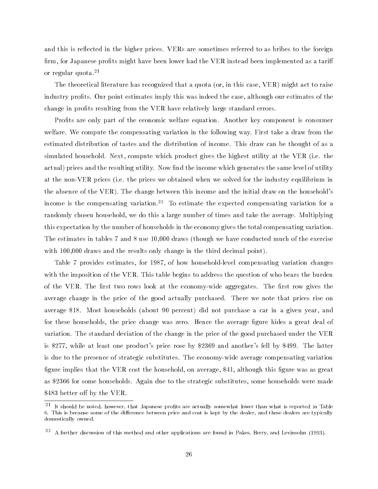and this is reflected in the higher prices. VERs are sometimes referred to as bribes to the foreign firm, for Japanese profits might have been lower had the VER instead been implemented as a tariff or regular quota.21

The theoretical literature has recognized that a quota (or, in this case, VER) might act to raise industry profits. Our point estimates imply this was indeed the case, although our estimates of the change in prots resulting from the VER have relatively large standard errors.

Profits are only part of the economic welfare equation. Another key component is consumer welfare. We compute the compensating variation in the following way. First take a draw from the estimated distribution of tastes and the distribution of income. This draw can be thought of as a simulated household. Next, compute which product gives the highest utility at the VER (i.e. the actual) prices and the resulting utility. Now find the income which generates the same level of utility at the non-VER prices (i.e. the prices we obtained when we solved for the industry equilibrium in the absence of the VER). The change between this income and the initial draw on the household's income is the compensating variation.<sup>22</sup> To estimate the expected compensating variation for a randomly chosen household, we do this a large number of times and take the average. Multiplying this expectation by the number of households in the economy gives the total compensating variation. The estimates in tables 7 and 8 use 10,000 draws (though we have conducted much of the exercise with 100,000 draws and the results only change in the third decimal point).

Table 7 provides estimates, for 1987, of how household-level compensating variation changes with the imposition of the VER. This table begins to address the question of who bears the burden of the VER. The first two rows look at the economy-wide aggregates. The first row gives the average change in the price of the good actually purchased. There we note that prices rise on average \$18. Most households (about 90 percent) did not purchase a car in a given year, and for these households, the price change was zero. Hence the average figure hides a great deal of variation. The standard deviation of the change in the price of the good purchased under the VER is \$277, while at least one product's price rose by \$2369 and another's fell by \$499. The latter is due to the presence of strategic substitutes. The economy-wide average compensating variation figure implies that the VER cost the household, on average, \$41, although this figure was as great as \$2366 for some households. Again due to the strategic substitutes, some households were made \$483 better off by the VER.

<sup>21</sup> It should be noted, however, that Japanese profits are actually somewhat lower than what is reported in Table 6. This is because some of the difference between price and cost is kept by the dealer, and these dealers are typically domestically owned.

<sup>22</sup> A further discussion of this method and other applications are found in Pakes, Berry, and Levinsohn (1993).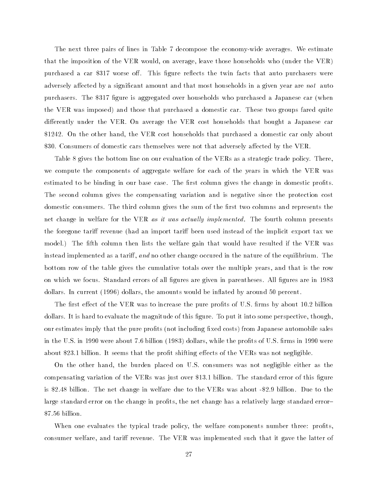The next three pairs of lines in Table 7 decompose the economy-wide averages. We estimate that the imposition of the VER would, on average, leave those households who (under the VER) purchased a car \$317 worse off. This figure reflects the twin facts that auto purchasers were adversely affected by a significant amount and that most households in a given year are not auto purchasers. The \$317 figure is aggregated over households who purchased a Japanese car (when the VER was imposed) and those that purchased a domestic car. These two groups fared quite differently under the VER. On average the VER cost households that bought a Japanese car \$1242. On the other hand, the VER cost households that purchased a domestic car only about \$30. Consumers of domestic cars themselves were not that adversely affected by the VER.

Table 8 gives the bottom line on our evaluation of the VERs as a strategic trade policy. There, we compute the components of aggregate welfare for each of the years in which the VER was estimated to be binding in our base case. The first column gives the change in domestic profits. The second column gives the compensating variation and is negative since the protection cost domestic consumers. The third column gives the sum of the first two columns and represents the net change in welfare for the VER as it was actually implemented. The fourth column presents the foregone tariff revenue (had an import tariff been used instead of the implicit export tax we model.) The fth column then lists the welfare gain that would have resulted if the VER was instead implemented as a tariff, and no other change occured in the nature of the equilibrium. The bottom row of the table gives the cumulative totals over the multiple years, and that is the row on which we focus. Standard errors of all figures are given in parentheses. All figures are in 1983 dollars. In current (1996) dollars, the amounts would be inflated by around 50 percent.

The first effect of the VER was to increase the pure profits of U.S. firms by about 10.2 billion dollars. It is hard to evaluate the magnitude of this figure. To put it into some perspective, though, our estimates imply that the pure profits (not including fixed costs) from Japanese automobile sales in the U.S. in 1990 were about 7.6 billion  $(1983)$  dollars, while the profits of U.S. firms in 1990 were about \$23.1 billion. It seems that the profit shifting effects of the VERs was not negligible.

On the other hand, the burden placed on U.S. consumers was not negligible either as the compensating variation of the VERs was just over \$13.1 billion. The standard error of this figure is \$2.48 billion. The net change in welfare due to the VERs was about -\$2.9 billion. Due to the large standard error on the change in profits, the net change has a relatively large standard error-\$7.56 billion.

When one evaluates the typical trade policy, the welfare components number three: profits, consumer welfare, and tariff revenue. The VER was implemented such that it gave the latter of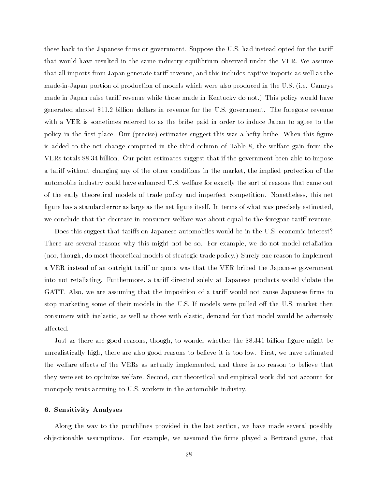these back to the Japanese firms or government. Suppose the U.S. had instead opted for the tariff that would have resulted in the same industry equilibrium observed under the VER. We assume that all imports from Japan generate tariff revenue, and this includes captive imports as well as the made-in-Japan portion of production of models which were also produced in the U.S. (i.e. Camrys made in Japan raise tariff revenue while those made in Kentucky do not.) This policy would have generated almost \$11.2 billion dollars in revenue for the U.S. government. The foregone revenue with a VER is sometimes referred to as the bribe paid in order to induce Japan to agree to the policy in the first place. Our (precise) estimates suggest this was a hefty bribe. When this figure is added to the net change computed in the third column of Table 8, the welfare gain from the VERs totals \$8.34 billion. Our point estimates suggest that if the government been able to impose a tariff without changing any of the other conditions in the market, the implied protection of the automobile industry could have enhanced U.S. welfare for exactly the sort of reasons that came out of the early theoretical models of trade policy and imperfect competition. Nonetheless, this net figure has a standard error as large as the net figure itself. In terms of what was precisely estimated, we conclude that the decrease in consumer welfare was about equal to the foregone tariff revenue.

Does this suggest that tariffs on Japanese automobiles would be in the U.S. economic interest? There are several reasons why this might not be so. For example, we do not model retaliation (nor, though, do most theoretical models of strategic trade policy.) Surely one reason to implement a VER instead of an outright tariff or quota was that the VER bribed the Japanese government into not retaliating. Furthermore, a tariff directed solely at Japanese products would violate the GATT. Also, we are assuming that the imposition of a tariff would not cause Japanese firms to stop marketing some of their models in the U.S. If models were pulled off the U.S. market then consumers with inelastic, as well as those with elastic, demand for that model would be adversely affected.

Just as there are good reasons, though, to wonder whether the \$8.341 billion figure might be unrealistically high, there are also good reasons to believe it is too low. First, we have estimated the welfare effects of the VERs as actually implemented, and there is no reason to believe that they were set to optimize welfare. Second, our theoretical and empirical work did not account for monopoly rents accruing to U.S. workers in the automobile industry.

### 6. Sensitivity Analyses

Along the way to the punchlines provided in the last section, we have made several possibly objectionable assumptions. For example, we assumed the firms played a Bertrand game, that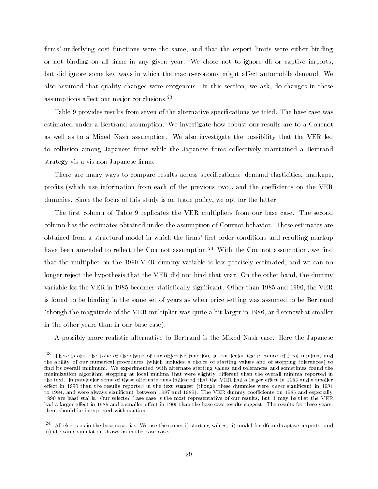firms' underlying cost functions were the same, and that the export limits were either binding or not binding on all firms in any given year. We chose not to ignore df or captive imports, but did ignore some key ways in which the macro-economy might affect automobile demand. We also assumed that quality changes were exogenous. In this section, we ask, do changes in these assumptions affect our major conclusions. $^{23}$ 

Table 9 provides results from seven of the alternative specifications we tried. The base case was estimated under a Bertrand assumption. We investigate how robust our results are to a Cournot as well as to a Mixed Nash assumption. We also investigate the possibility that the VER led to collusion among Japanese firms while the Japanese firms collectively maintained a Bertrand strategy vis a vis non-Japanese firms.

There are many ways to compare results across specications: demand elasticities, markups, profits (which use information from each of the previous two), and the coefficients on the VER dummies. Since the focus of this study is on trade policy, we opt for the latter.

The first column of Table 9 replicates the VER multipliers from our base case. The second column has the estimates obtained under the assumption of Cournot behavior. These estimates are obtained from a structural model in which the firms' first order conditions and resulting markup have been amended to reflect the Cournot assumption.<sup>24</sup> With the Cournot assumption, we find that the multiplier on the 1990 VER dummy variable is less precisely estimated, and we can no longer reject the hypothesis that the VER did not bind that year. On the other hand, the dummy variable for the VER in 1985 becomes statistically signicant. Other than 1985 and 1990, the VER is found to be binding in the same set of years as when price setting was assumed to be Bertrand (though the magnitude of the VER multiplier was quite a bit larger in 1986, and somewhat smaller in the other years than in our base case).

A possibly more realistic alternative to Bertrand is the Mixed Nash case. Here the Japanese

<sup>23</sup> There is also the issue of the shape of our ob jective function, in particular the presence of local minima, and the ability of our numerical procedures (which includes a choice of starting values and of stopping tolerances) to find its overall minimum. We experimented with alternate starting values and tolerances and sometimes found the minimization algorithm stopping at local minima that were slightly dierent than the overall minima reported in the text. In particular some of these alternate runs indicated that the VER had a larger effect in 1985 and a smaller effect in 1990 than the results reported in the text suggest (though these dummies were *never* significant in 1981 to 1984, and were always significant between 1987 and 1989). The VER dummy coefficients on 1985 and especially 1990 are least stable. Our selected base case is the most representative of our results, but it may be that the VER had a larger effect in 1985 and a smaller effect in 1990 than the base case results suggest. The results for these years, then, should be interpreted with caution.

 $^{-1}$  All else is as in the base case. i.e. We use the same: i) starting values; ii) model for dfi and captive imports; and iii) the same simulation draws as in the base case.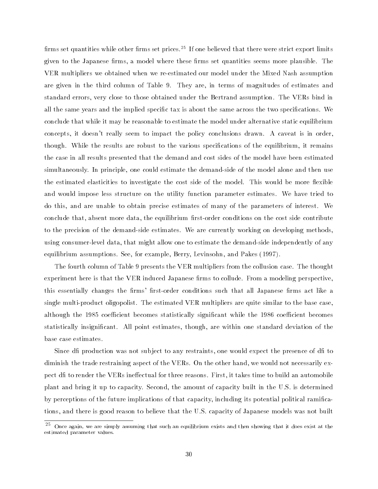firms set quantities while other firms set prices.<sup>25</sup> If one believed that there were strict export limits given to the Japanese firms, a model where these firms set quantities seems more plausible. The VER multipliers we obtained when we re-estimated our model under the Mixed Nash assumption are given in the third column of Table 9. They are, in terms of magnitudes of estimates and standard errors, very close to those obtained under the Bertrand assumption. The VERs bind in all the same years and the implied specific tax is about the same across the two specifications. We conclude that while it may be reasonable to estimate the model under alternative static equilibrium concepts, it doesn't really seem to impact the policy conclusions drawn. A caveat is in order, though. While the results are robust to the various specifications of the equilibrium, it remains the case in all results presented that the demand and cost sides of the model have been estimated simultaneously. In principle, one could estimate the demand-side of the model alone and then use the estimated elasticities to investigate the cost side of the model. This would be more flexible and would impose less structure on the utility function parameter estimates. We have tried to do this, and are unable to obtain precise estimates of many of the parameters of interest. We conclude that, absent more data, the equilibrium first-order conditions on the cost side contribute to the precision of the demand-side estimates. We are currently working on developing methods, using consumer-level data, that might allow one to estimate the demand-side independently of any equilibrium assumptions. See, for example, Berry, Levinsohn, and Pakes (1997).

The fourth column of Table 9 presents the VER multipliers from the collusion case. The thought experiment here is that the VER induced Japanese firms to collude. From a modeling perspective, this essentially changes the firms' first-order conditions such that all Japanese firms act like a single multi-product oligopolist. The estimated VER multipliers are quite similar to the base case, although the 1985 coefficient becomes statistically significant while the 1986 coefficient becomes statistically insignicant. All point estimates, though, are within one standard deviation of the base case estimates.

Since dfi production was not subject to any restraints, one would expect the presence of dfi to diminish the trade restraining aspect of the VERs. On the other hand, we would not necessarily expect dfi to render the VERs ineffectual for three reasons. First, it takes time to build an automobile plant and bring it up to capacity. Second, the amount of capacity built in the U.S. is determined by perceptions of the future implications of that capacity, including its potential political ramications, and there is good reason to believe that the U.S. capacity of Japanese models was not built

<sup>25</sup> Once again, we are simply assuming that such an equilibrium exists and then showing that it does exist at the estimated parameter values.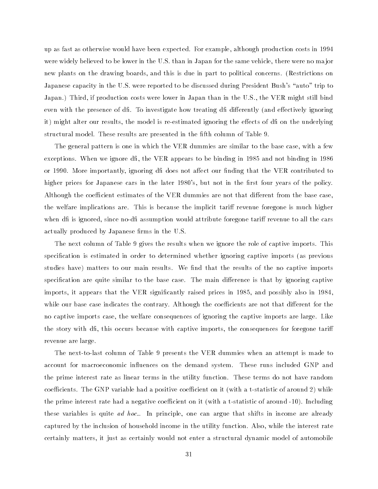up as fast as otherwise would have been expected. For example, although production costs in 1994 were widely believed to be lower in the U.S. than in Japan for the same vehicle, there were no ma jor new plants on the drawing boards, and this is due in part to political concerns. (Restrictions on Japanese capacity in the U.S. were reported to be discussed during President Bush's "auto" trip to Japan.) Third, if production costs were lower in Japan than in the U.S., the VER might still bind even with the presence of dfi. To investigate how treating dfi differently (and effectively ignoring it) might alter our results, the model is re-estimated ignoring the effects of dfi on the underlying structural model. These results are presented in the fth column of Table 9.

The general pattern is one in which the VER dummies are similar to the base case, with a few exceptions. When we ignore dfi, the VER appears to be binding in 1985 and not binding in 1986 or 1990. More importantly, ignoring dfi does not affect our finding that the VER contributed to higher prices for Japanese cars in the later 1980's, but not in the first four years of the policy. Although the coefficient estimates of the VER dummies are not that different from the base case. the welfare implications are. This is because the implicit tariff revenue foregone is much higher when df is ignored, since no-df assumption would attribute foregone tariff revenue to all the cars actually produced by Japanese firms in the U.S.

The next column of Table 9 gives the results when we ignore the role of captive imports. This specication is estimated in order to determined whether ignoring captive imports (as previous studies have) matters to our main results. We find that the results of the no captive imports specification are quite similar to the base case. The main difference is that by ignoring captive imports, it appears that the VER significantly raised prices in 1985, and possibly also in 1984. while our base case indicates the contrary. Although the coefficients are not that different for the no captive imports case, the welfare consequences of ignoring the captive imports are large. Like the story with dfi, this occurs because with captive imports, the consequences for foregone tariff revenue are large.

The next-to-last column of Table 9 presents the VER dummies when an attempt is made to account for macroeconomic influences on the demand system. These runs included GNP and the prime interest rate as linear terms in the utility function. These terms do not have random coefficients. The GNP variable had a positive coefficient on it (with a t-statistic of around 2) while the prime interest rate had a negative coefficient on it (with a t-statistic of around -10). Including these variables is quite *ad hoc*.. In principle, one can argue that shifts in income are already captured by the inclusion of household income in the utility function. Also, while the interest rate certainly matters, it just as certainly would not enter a structural dynamic model of automobile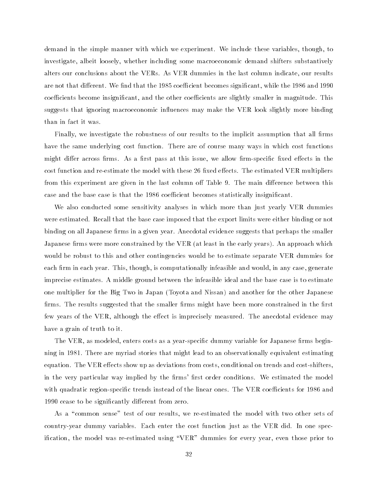demand in the simple manner with which we experiment. We include these variables, though, to investigate, albeit loosely, whether including some macroeconomic demand shifters substantively alters our conclusions about the VERs. As VER dummies in the last column indicate, our results are not that different. We find that the 1985 coefficient becomes significant, while the 1986 and 1990 coefficients become insignificant, and the other coefficients are slightly smaller in magnitude. This suggests that ignoring macroeconomic influences may make the VER look slightly more binding than in fact it was.

Finally, we investigate the robustness of our results to the implicit assumption that all firms have the same underlying cost function. There are of course many ways in which cost functions might differ across firms. As a first pass at this issue, we allow firm-specific fixed effects in the cost function and re-estimate the model with these 26 fixed effects. The estimated VER multipliers from this experiment are given in the last column off Table 9. The main difference between this case and the base case is that the 1986 coefficient becomes statistically insignificant.

We also conducted some sensitivity analyses in which more than just yearly VER dummies were estimated. Recall that the base case imposed that the export limits were either binding or not binding on all Japanese firms in a given year. Anecdotal evidence suggests that perhaps the smaller Japanese firms were more constrained by the VER (at least in the early years). An approach which would be robust to this and other contingencies would be to estimate separate VER dummies for each firm in each year. This, though, is computationally infeasible and would, in any case, generate imprecise estimates. A middle ground between the infeasible ideal and the base case is to estimate one multiplier for the Big Two in Japan (Toyota and Nissan) and another for the other Japanese firms. The results suggested that the smaller firms might have been more constrained in the first few years of the VER, although the effect is imprecisely measured. The anecdotal evidence may have a grain of truth to it.

The VER, as modeled, enters costs as a year-specific dummy variable for Japanese firms beginning in 1981. There are myriad stories that might lead to an observationally equivalent estimating equation. The VER effects show up as deviations from costs, conditional on trends and cost-shifters. in the very particular way implied by the firms' first order conditions. We estimated the model with quadratic region-specific trends instead of the linear ones. The VER coefficients for 1986 and 1990 cease to be significantly different from zero.

As a "common sense" test of our results, we re-estimated the model with two other sets of country-year dummy variables. Each enter the cost function just as the VER did. In one specification, the model was re-estimated using "VER" dummies for every year, even those prior to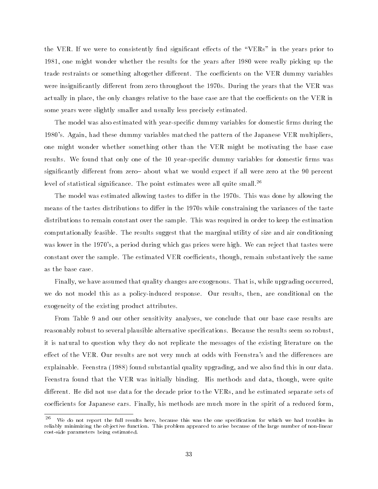the VER. If we were to consistently find significant effects of the "VERs" in the years prior to 1981, one might wonder whether the results for the years after 1980 were really picking up the trade restraints or something altogether different. The coefficients on the VER dummy variables were insignificantly different from zero throughout the 1970s. During the years that the VER was actually in place, the only changes relative to the base case are that the coefficients on the VER in some years were slightly smaller and usually less precisely estimated.

The model was also estimated with year-specific dummy variables for domestic firms during the 1980's. Again, had these dummy variables matched the pattern of the Japanese VER multipliers, one might wonder whether something other than the VER might be motivating the base case results. We found that only one of the 10 year-specific dummy variables for domestic firms was significantly different from zero- about what we would expect if all were zero at the 90 percent level of statistical significance. The point estimates were all quite small.<sup>26</sup>

The model was estimated allowing tastes to differ in the 1970s. This was done by allowing the means of the tastes distributions to differ in the 1970s while constraining the variances of the taste distributions to remain constant over the sample. This was required in order to keep the estimation computationally feasible. The results suggest that the marginal utility of size and air conditioning was lower in the 1970's, a period during which gas prices were high. We can reject that tastes were constant over the sample. The estimated VER coefficients, though, remain substantively the same as the base case.

Finally, we have assumed that quality changes are exogenous. That is, while upgrading occurred, we do not model this as a policy-induced response. Our results, then, are conditional on the exogeneity of the existing product attributes.

From Table 9 and our other sensitivity analyses, we conclude that our base case results are reasonably robust to several plausible alternative specifications. Because the results seem so robust, it is natural to question why they do not replicate the messages of the existing literature on the effect of the VER. Our results are not very much at odds with Feenstra's and the differences are explainable. Feenstra (1988) found substantial quality upgrading, and we also find this in our data. Feenstra found that the VER was initially binding. His methods and data, though, were quite different. He did not use data for the decade prior to the VERs, and he estimated separate sets of coefficients for Japanese cars. Finally, his methods are much more in the spirit of a reduced form.

<sup>26</sup> We do not report the full results here, because this was the one specication for which we had troubles in reliably minimizing the ob jective function. This problem appeared to arise because of the large number of non-linear cost-side parameters being estimated.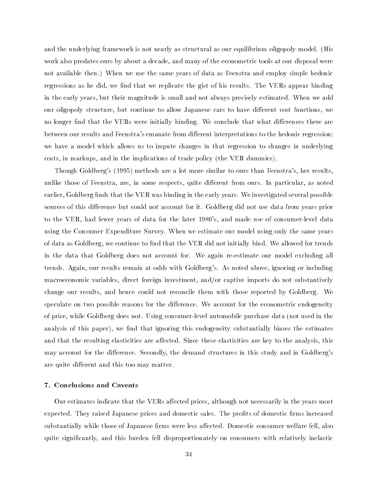and the underlying framework is not nearly as structural as our equilibrium oligopoly model. (His work also predates ours by about a decade, and many of the econometric tools at our disposal were not available then.) When we use the same years of data as Feenstra and employ simple hedonic regressions as he did, we find that we replicate the gist of his results. The VERs appear binding in the early years, but their magnitude is small and not always precisely estimated. When we add our oligopoly structure, but continue to allow Japanese cars to have different cost functions, we no longer find that the VERs were initially binding. We conclude that what differences there are between our results and Feenstra's emanate from different interpretations to the hedonic regression; we have a model which allows us to impute changes in that regression to changes in underlying costs, in markups, and in the implications of trade policy (the VER dummies).

Though Goldberg's (1995) methods are a lot more similar to ours than Feenstra's, her results, unlike those of Feenstra, are, in some respects, quite different from ours. In particular, as noted earlier, Goldberg finds that the VER was binding in the early years. We investigated several possible sources of this difference but could not account for it. Goldberg did not use data from years prior to the VER, had fewer years of data for the later 1980's, and made use of consumer-level data using the Consumer Expenditure Survey. When we estimate our model using only the same years of data as Goldberg, we continue to find that the VER did not initially bind. We allowed for trends in the data that Goldberg does not account for. We again re-estimate our model excluding all trends. Again, our results remain at odds with Goldberg's. As noted above, ignoring or including macroeconomic variables, direct foreign investment, and/or captive imports do not substantively change our results, and hence could not reconcile them with those reported by Goldberg. We speculate on two possible reasons for the difference. We account for the econometric endogeneity of price, while Goldberg does not. Using consumer-level automobile purchase data (not used in the analysis of this paper), we find that ignoring this endogeneity substantially biases the estimates and that the resulting elasticities are affected. Since these elasticities are key to the analysis, this may account for the difference. Secondly, the demand structures in this study and in Goldberg's are quite different and this too may matter.

#### 7. Conclusions and Caveats

Our estimates indicate that the VERs affected prices, although not necessarily in the years most expected. They raised Japanese prices and domestic sales. The profits of domestic firms increased substantially while those of Japanese firms were less affected. Domestic consumer welfare fell, also quite signicantly, and this burden fell disproportionately on consumers with relatively inelastic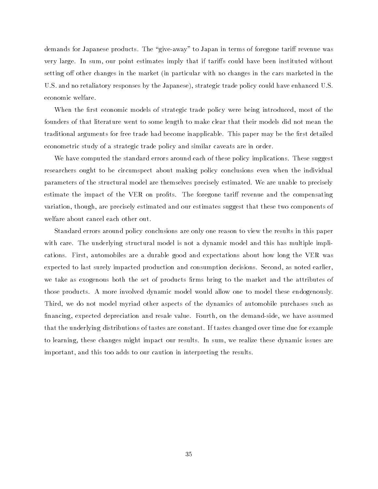demands for Japanese products. The "give-away" to Japan in terms of foregone tariff revenue was very large. In sum, our point estimates imply that if tariffs could have been instituted without setting off other changes in the market (in particular with no changes in the cars marketed in the U.S. and no retaliatory responses by the Japanese), strategic trade policy could have enhanced U.S. economic welfare.

When the first economic models of strategic trade policy were being introduced, most of the founders of that literature went to some length to make clear that their models did not mean the traditional arguments for free trade had become inapplicable. This paper may be the first detailed econometric study of a strategic trade policy and similar caveats are in order.

We have computed the standard errors around each of these policy implications. These suggest researchers ought to be circumspect about making policy conclusions even when the individual parameters of the structural model are themselves precisely estimated. We are unable to precisely estimate the impact of the VER on profits. The foregone tariff revenue and the compensating variation, though, are precisely estimated and our estimates suggest that these two components of welfare about cancel each other out.

Standard errors around policy conclusions are only one reason to view the results in this paper with care. The underlying structural model is not a dynamic model and this has multiple implications. First, automobiles are a durable good and expectations about how long the VER was expected to last surely impacted production and consumption decisions. Second, as noted earlier, we take as exogenous both the set of products firms bring to the market and the attributes of those products. A more involved dynamic model would allow one to model these endogenously. Third, we do not model myriad other aspects of the dynamics of automobile purchases such as financing, expected depreciation and resale value. Fourth, on the demand-side, we have assumed that the underlying distributions of tastes are constant. If tastes changed over time due for example to learning, these changes might impact our results. In sum, we realize these dynamic issues are important, and this too adds to our caution in interpreting the results.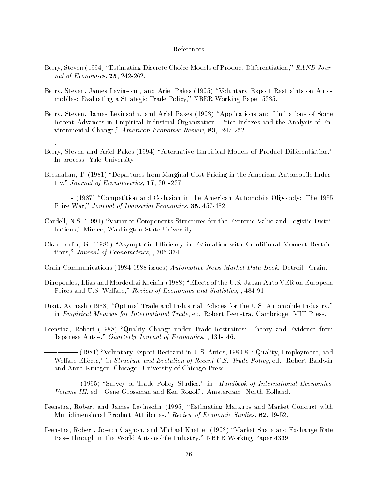#### References

- Berry, Steven (1994) "Estimating Discrete Choice Models of Product Differentiation," RAND Journal of Economics, 25, 242-262.
- Berry, Steven, James Levinsohn, and Ariel Pakes (1995) "Voluntary Export Restraints on Automobiles: Evaluating a Strategic Trade Policy," NBER Working Paper 5235.
- Berry, Steven, James Levinsohn, and Ariel Pakes (1993) "Applications and Limitations of Some Recent Advances in Empirical Industrial Organization: Price Indexes and the Analysis of Environmental Change," American Economic Review, 83, 247-252.
- Berry, Steven and Ariel Pakes (1994) "Alternative Empirical Models of Product Differentiation," In process. Yale University.
- Bresnahan, T. (1981) "Departures from Marginal-Cost Pricing in the American Automobile Industry," Journal of Econometrics, 17, 201-227.
	- -- (1987) "Competition and Collusion in the American Automobile Oligopoly: The 1955 Price War," Journal of Industrial Economics, 35, 457-482.
- Cardell, N.S. (1991) "Variance Components Structures for the Extreme Value and Logistic Distributions," Mimeo, Washington State University.
- Chamberlin, G. (1986) "Asymptotic Efficiency in Estimation with Conditional Moment Restrictions," Journal of Econometrics, , 305-334.
- Crain Communications (1984-1988 issues) Automotive News Market Data Book. Detroit: Crain.
- Dinopoulos, Elias and Mordechai Kreinin (1988) "Effects of the U.S.-Japan Auto VER on European Prices and U.S. Welfare," Review of Economics and Statistics, , 484-91.
- Dixit, Avinash (1988) "Optimal Trade and Industrial Policies for the U.S. Automobile Industry," in Empirical Methods for International Trade, ed. Robert Feenstra. Cambridge: MIT Press.
- Feenstra, Robert (1988) "Quality Change under Trade Restraints: Theory and Evidence from Japanese Autos," Quarterly Journal of Economics, , 131-146.
	- ||||| (1984) \Voluntary Export Restraint in U.S. Autos, 1980-81: Quality, Employment, and Welfare Effects," in Structure and Evolution of Recent U.S. Trade Policy, ed. Robert Baldwin and Anne Krueger. Chicago: University of Chicago Press.
	- (1995) "Survey of Trade Policy Studies," in Handbook of International Economics, Volume III, ed. Gene Grossman and Ken Rogoff. Amsterdam: North Holland.
- Feenstra, Robert and James Levinsohn (1995) "Estimating Markups and Market Conduct with Multidimensional Product Attributes," Review of Economic Studies, 62, 19-52.
- Feenstra, Robert, Joseph Gagnon, and Michael Knetter (1993) "Market Share and Exchange Rate Pass-Through in the World Automobile Industry," NBER Working Paper 4399.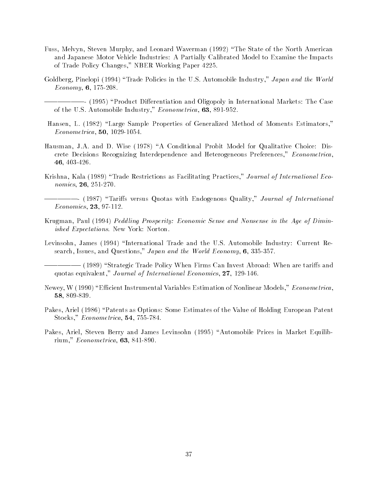- Fuss, Melvyn, Steven Murphy, and Leonard Waverman (1992) \The State of the North American and Japanese Motor Vehicle Industries: A Partially Calibrated Model to Examine the Impacts of Trade Policy Changes," NBER Working Paper 4225.
- Goldberg, Pinelopi (1994) "Trade Policies in the U.S. Automobile Industry," *Japan and the World*  $Economy, 6, 175-208.$ 
	- -- (1995) "Product Differentiation and Oligopoly in International Markets: The Case of the U.S. Automobile Industry," Econometrica, 63, 891-952.
- Hansen, L. (1982) "Large Sample Properties of Generalized Method of Moments Estimators," Econometrica, 50, 1029-1054.
- Hausman, J.A. and D. Wise (1978) "A Conditional Probit Model for Qualitative Choice: Discrete Decisions Recognizing Interdependence and Heterogeneous Preferences," Econometrica, 46, 403-426.
- Krishna, Kala (1989) "Trade Restrictions as Facilitating Practices," Journal of International Economics, 26, 251-270.
	- (1987) "Tariffs versus Quotas with Endogenous Quality," Journal of International Economics, 23, 97-112.
- Krugman, Paul (1994) Peddling Prosperity: Economic Sense and Nonsense in the Age of Diminished Expectations. New York: Norton.
- Levinsohn, James (1994) "International Trade and the U.S. Automobile Industry: Current Research, Issues, and Questions," Japan and the World Economy, 6, 335-357.

 $-$  (1989) "Strategic Trade Policy When Firms Can Invest Abroad: When are tariffs and quotas equivalent," Journal of International Economics, 27, 129-146.

- Newey, W (1990) "Efficient Instrumental Variables Estimation of Nonlinear Models," Econometrica 58, 809-839.
- Pakes, Ariel (1986) "Patents as Options: Some Estimates of the Value of Holding European Patent Stocks," Econometrica, 54, 755-784.
- Pakes, Ariel, Steven Berry and James Levinsohn (1995) "Automobile Prices in Market Equilibrium," Econometrica, 63, 841-890.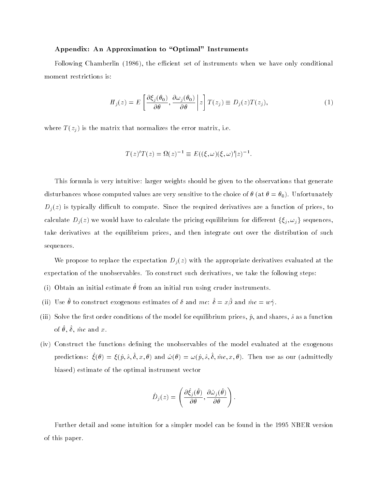## Appendix: An Approximation to "Optimal" Instruments

Following Chamberlin (1986), the efficient set of instruments when we have only conditional moment restrictions is:

$$
H_j(z) = E\left[\frac{\partial \xi_j(\theta_0)}{\partial \theta}, \frac{\partial \omega_j(\theta_0)}{\partial \theta}\bigg| z\right] T(z_j) \equiv D_j(z) T(z_j),\tag{1}
$$

where  $T(z_j)$  is the matrix that normalizes the error matrix, i.e.

$$
T(z)'T(z) = \Omega(z)^{-1} \equiv E((\xi, \omega)(\xi, \omega)'|z)^{-1}.
$$

This formula is very intuitive: larger weights should be given to the observations that generate disturbances whose computed values are very sensitive to the choice of  $\theta$  (at  $\theta = \theta_0$ ). Unfortunately  $D_i(z)$  is typically difficult to compute. Since the required derivatives are a function of prices, to calculate  $D_j(z)$  we would have to calculate the pricing equilibrium for different  $\{\xi_j,\omega_j\}$  sequences, take derivatives at the equilibrium prices, and then integrate out over the distribution of such sequences.

We propose to replace the expectation  $D_j(z)$  with the appropriate derivatives evaluated at the expectation of the unobservables. To construct such derivatives, we take the following steps:

- (i) Obtain an initial estimate ^ from an initial run using cruder instruments.
- (ii) Use  $\sigma$  to construct exogenous estimates of  $\sigma$  and  $mc$ ,  $\sigma = x \beta$  and  $mc = w \gamma$ .
- (iii) Solve the first order conditions of the model for equilibrium prices,  $\hat{p}$ , and shares,  $\hat{s}$  as a function or  $v, v, mc$  and  $x$ .
- (iv) Construct the functions defining the unobservables of the model evaluated at the exogenous predictions.  $\zeta(\nu) = \zeta(\nu, s, v, x, v)$  and  $\omega(\nu) = \omega(\nu, s, v, mc, x, v)$ . Then use as our (admittedly biased) estimate of the optimal instrument vector

$$
\hat{D}_j(z)=\left(\frac{\partial \hat{\xi}_j(\hat{\theta})}{\partial \theta},\frac{\partial \hat{\omega}_j(\hat{\theta})}{\partial \theta}\right).
$$

Further detail and some intuition for a simpler model can be found in the 1995 NBER version of this paper.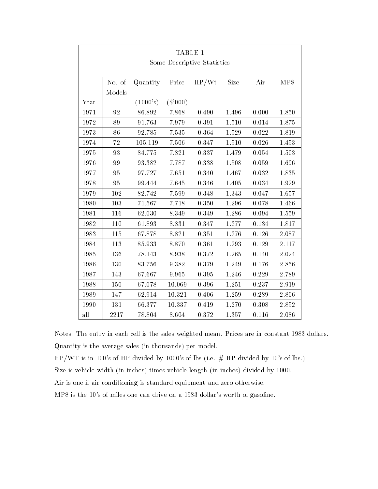| TABLE 1 |        |          |            |                             |       |           |       |  |
|---------|--------|----------|------------|-----------------------------|-------|-----------|-------|--|
|         |        |          |            | Some Descriptive Statistics |       |           |       |  |
|         | No. of | Quantity | Price      | HP/Wt                       | Size  | Air       | MP\$  |  |
|         | Models |          |            |                             |       |           |       |  |
| Year    |        | (1000's) | $(\$'000)$ |                             |       |           |       |  |
| 1971    | 92     | 86.892   | 7.868      | 0.490                       | 1.496 | 0.000     | 1.850 |  |
| 1972    | 89     | 91.763   | 7.979      | 0.391                       | 1.510 | 0.014     | 1.875 |  |
| 1973    | 86     | 92.785   | 7.535      | 0.364                       | 1.529 | 0.022     | 1.819 |  |
| 1974    | 72     | 105.119  | 7.506      | 0.347                       | 1.510 | 0.026     | 1.453 |  |
| 1975    | 93     | 84.775   | 7.821      | 0.337                       | 1.479 | 0.054     | 1.503 |  |
| 1976    | 99     | 93.382   | 7.787      | 0.338                       | 1.508 | 0.059     | 1.696 |  |
| 1977    | 95     | 97.727   | 7.651      | 0.340                       | 1.467 | 0.032     | 1.835 |  |
| 1978    | 95     | 99.444   | 7.645      | 0.346                       | 1.405 | 0.034     | 1.929 |  |
| 1979    | 102    | 82.742   | 7.599      | 0.348                       | 1.343 | 0.047     | 1.657 |  |
| 1980    | 103    | 71.567   | 7.718      | 0.350                       | 1.296 | $0.078\,$ | 1.466 |  |
| 1981    | 116    | 62.030   | 8.349      | 0.349                       | 1.286 | 0.094     | 1.559 |  |
| 1982    | 110    | 61.893   | 8.831      | 0.347                       | 1.277 | 0.134     | 1.817 |  |
| 1983    | 115    | 67.878   | 8.821      | 0.351                       | 1.276 | 0.126     | 2.087 |  |
| 1984    | 113    | 85.933   | 8.870      | 0.361                       | 1.293 | 0.129     | 2.117 |  |
| 1985    | 136    | 78.143   | 8.938      | 0.372                       | 1.265 | 0.140     | 2.024 |  |
| 1986    | 130    | 83.756   | 9.382      | 0.379                       | 1.249 | 0.176     | 2.856 |  |
| 1987    | 143    | 67.667   | 9.965      | 0.395                       | 1.246 | 0.229     | 2.789 |  |
| 1988    | 150    | 67.078   | 10.069     | 0.396                       | 1.251 | 0.237     | 2.919 |  |
| 1989    | 147    | 62.914   | 10.321     | 0.406                       | 1.259 | 0.289     | 2.806 |  |
| 1990    | 131    | 66.377   | 10.337     | 0.419                       | 1.270 | 0.308     | 2.852 |  |
| all     | 2217   | 78.804   | 8.604      | 0.372                       | 1.357 | 0.116     | 2.086 |  |

Notes: The entry in each cell is the sales weighted mean. Prices are in constant 1983 dollars. Quantity is the average sales (in thousands) per model.

HP/WT is in 100's of HP divided by 1000's of lbs (i.e. # HP divided by 10's of lbs.)

Size is vehicle width (in inches) times vehicle length (in inches) divided by 1000.

Air is one if air conditioning is standard equipment and zero otherwise.

MP\$ is the 10's of miles one can drive on a 1983 dollar's worth of gasoline.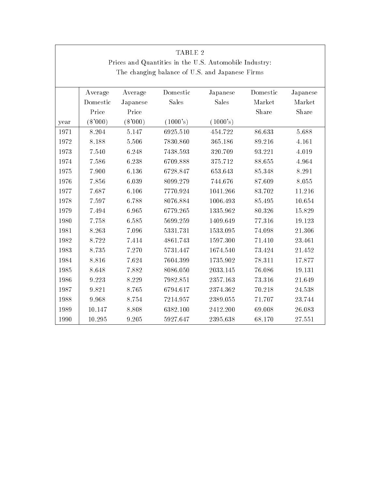|                                                 |            |                                                                    | TABLE 2                                                |          |            |        |  |  |  |  |  |  |
|-------------------------------------------------|------------|--------------------------------------------------------------------|--------------------------------------------------------|----------|------------|--------|--|--|--|--|--|--|
|                                                 |            |                                                                    | Prices and Quantities in the U.S. Automobile Industry: |          |            |        |  |  |  |  |  |  |
| The changing balance of U.S. and Japanese Firms |            |                                                                    |                                                        |          |            |        |  |  |  |  |  |  |
|                                                 |            | Domestic<br>Domestic<br>Japanese<br>Japanese<br>Average<br>Average |                                                        |          |            |        |  |  |  |  |  |  |
|                                                 | Domestic   | Japanese                                                           | Sales                                                  | Sales    | Market     | Market |  |  |  |  |  |  |
|                                                 | Price      | Price                                                              |                                                        |          | Share      | Share  |  |  |  |  |  |  |
| year                                            | $(\$'000)$ | $(\$'000)$                                                         | (1000's)                                               | (1000's) |            |        |  |  |  |  |  |  |
| 1971                                            | 8.204      | 5.147                                                              | 6925.510                                               | 454.722  | 86.633     | 5.688  |  |  |  |  |  |  |
| 1972                                            | 8.188      | 5.506                                                              | 7830.860                                               | 365.186  | 89.216     | 4.161  |  |  |  |  |  |  |
| 1973                                            | 7.540      | 6.248                                                              | 7438.593                                               | 320.709  | 93.221     | 4.019  |  |  |  |  |  |  |
| 1974                                            | 7.586      | 6.238                                                              | 6709.888                                               | 375.712  | 88.655     | 4.964  |  |  |  |  |  |  |
| 1975                                            | 7.900      | 6.136                                                              | 6728.847                                               | 653.643  | 85.348     | 8.291  |  |  |  |  |  |  |
| 1976                                            | 7.856      | 6.039                                                              | 8099.279                                               | 744.676  | 87.609     | 8.055  |  |  |  |  |  |  |
| 1977                                            | 7.687      | 6.106                                                              | 7770.924                                               | 1041.266 | 83.702     | 11.216 |  |  |  |  |  |  |
| 1978                                            | 7.597      | 6.788                                                              | 8076.884                                               | 1006.493 | 85.495     | 10.654 |  |  |  |  |  |  |
| 1979                                            | 7.494      | 6.965                                                              | 6779.265                                               | 1335.962 | $80.326\,$ | 15.829 |  |  |  |  |  |  |
| 1980                                            | 7.758      | 6.585                                                              | 5699.259                                               | 1409.649 | 77.316     | 19.123 |  |  |  |  |  |  |
| 1981                                            | 8.263      | 7.096                                                              | 5331.731                                               | 1533.095 | 74.098     | 21.306 |  |  |  |  |  |  |
| 1982                                            | 8.722      | 7.414                                                              | 4861.743                                               | 1597.300 | 71.410     | 23.461 |  |  |  |  |  |  |
| 1983                                            | 8.735      | 7.270                                                              | 5731.447                                               | 1674.540 | 73.424     | 21.452 |  |  |  |  |  |  |
| 1984                                            | 8.816      | 7.624                                                              | 7604.399                                               | 1735.902 | 78.311     | 17.877 |  |  |  |  |  |  |
| 1985                                            | 8.648      | 7.882                                                              | 8086.050                                               | 2033.145 | 76.086     | 19.131 |  |  |  |  |  |  |
| 1986                                            | 9.223      | 8.229                                                              | 7982.851                                               | 2357.163 | 73.316     | 21.649 |  |  |  |  |  |  |
| 1987                                            | 9.821      | 8.765                                                              | 6794.617                                               | 2374.362 | 70.218     | 24.538 |  |  |  |  |  |  |
| 1988                                            | 9.968      | 8.754                                                              | 7214.957                                               | 2389.055 | 71.707     | 23.744 |  |  |  |  |  |  |
| 1989                                            | 10.147     | 8.808                                                              | 6382.100                                               | 2412.200 | 69.008     | 26.083 |  |  |  |  |  |  |
| 1990                                            | 10.295     | 9.205                                                              | 5927.647                                               | 2395.638 | 68.170     | 27.551 |  |  |  |  |  |  |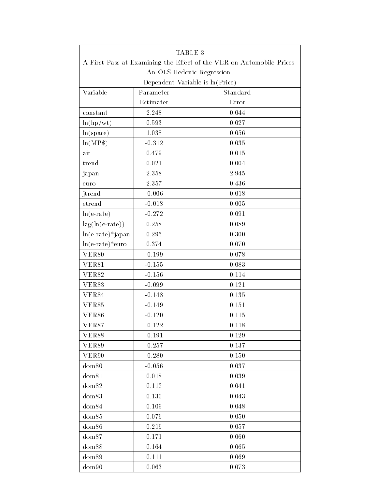|                                | An OLS Hedonic Regression         | A First Pass at Examining the Effect of the VER on Automobile Prices |
|--------------------------------|-----------------------------------|----------------------------------------------------------------------|
|                                | Dependent Variable is $ln(Price)$ |                                                                      |
| Variable                       | Parameter                         | Standard                                                             |
|                                | Estimater                         | Error                                                                |
| constant                       | 2.248                             | 0.044                                                                |
| $\ln(\mathrm{hp}/\mathrm{wt})$ | 0.593                             | 0.027                                                                |
| ln(space)                      | 1.038                             | 0.056                                                                |
| $ln(MP$ \$)                    | $-0.312$                          | 0.035                                                                |
| air                            | 0.479                             | 0.015                                                                |
| trend                          | 0.021                             | 0.004                                                                |
| japan                          | 2.358                             | 2.945                                                                |
| euro                           | 2.357                             | 0.436                                                                |
| jtrend                         | $-0.006$                          | 0.018                                                                |
| etrend                         | $-0.018$                          | 0.005                                                                |
| $ln(e$ -rate)                  | $-0.272$                          | 0.091                                                                |
| $lag(ln(e-rate))$              | 0.258                             | 0.089                                                                |
| $ln(e$ -rate $)*j$ apan        | 0.295                             | 0.300                                                                |
| $ln(e$ -rate)*euro             | 0.374                             | 0.070                                                                |
| VER80                          | $-0.199$                          | 0.078                                                                |
| VER81                          | $-0.155$                          | 0.083                                                                |
| <b>VER82</b>                   | $-0.156$                          | 0.114                                                                |
| VER83                          | $-0.099$                          | 0.121                                                                |
| VER84                          | $-0.148$                          | 0.135                                                                |
| VER85                          | $-0.149$                          | 0.151                                                                |
| VER86                          | $-0.120$                          | 0.115                                                                |
| VER87                          | $-0.122$                          | 0.118                                                                |
| <b>VER88</b>                   | $-0.191$                          | 0.129                                                                |
| VER89                          | $-0.257$                          | 0.137                                                                |
| VER90                          | $-0.280$                          | 0.150                                                                |
| dom80                          | $-0.056$                          | 0.037                                                                |
| dom81                          | 0.018                             | 0.039                                                                |
| dom82                          | 0.112                             | 0.041                                                                |
| dom83                          | 0.130                             | 0.043                                                                |
| dom84                          | 0.109                             | 0.048                                                                |
| dom85                          | 0.076                             | 0.050                                                                |
| dom86                          | 0.216                             | 0.057                                                                |
| dom87                          | 0.171                             | 0.060                                                                |
| dom88                          | 0.164                             | 0.065                                                                |
| dom89                          | 0.111                             | 0.069                                                                |
| dom90                          | 0.063                             | 0.073                                                                |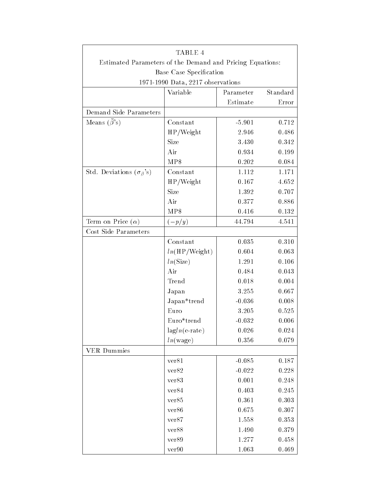|                                                           | TABLE 4                           |           |           |
|-----------------------------------------------------------|-----------------------------------|-----------|-----------|
| Estimated Parameters of the Demand and Pricing Equations: |                                   |           |           |
|                                                           | Base Case Specification           |           |           |
|                                                           | 1971-1990 Data, 2217 observations |           |           |
|                                                           | Variable                          | Parameter | Standard  |
|                                                           |                                   | Estimate  | Error     |
| Demand Side Parameters                                    |                                   |           |           |
| Means $(\beta's)$                                         | Constant                          | $-5.901$  | 0.712     |
|                                                           | $HP/W$ eight                      | 2.946     | 0.486     |
|                                                           | Size                              | 3.430     | 0.342     |
|                                                           | Air                               | 0.934     | 0.199     |
|                                                           | MP\$                              | 0.202     | 0.084     |
| Std. Deviations ( $\sigma_{\beta}$ 's)                    | Constant                          | 1.112     | 1.171     |
|                                                           | $HP/W$ eight                      | 0.167     | 4.652     |
|                                                           | Size                              | 1.392     | 0.707     |
|                                                           | Air                               | 0.377     | 0.886     |
|                                                           | MP\$                              | 0.416     | 0.132     |
| Term on Price $(\alpha)$                                  | $(-p/y)$                          | 44.794    | 4.541     |
| Cost Side Parameters                                      |                                   |           |           |
|                                                           | Constant                          | 0.035     | 0.310     |
|                                                           | ln(HP/Weight)                     | 0.604     | 0.063     |
|                                                           | ln(Size)                          | 1.291     | 0.106     |
|                                                           | Air                               | 0.484     | 0.043     |
|                                                           | Trend                             | 0.018     | 0.004     |
|                                                           | Japan                             | 3.255     | 0.667     |
|                                                           | Japan*trend                       | $-0.036$  | 0.008     |
|                                                           | Euro                              | 3.205     | 0.525     |
|                                                           | Euro <sup>*</sup> trend           | 0.032     | $0.006\,$ |
|                                                           | $lagln(e$ -rate)                  | 0.026     | 0.024     |
|                                                           | ln(wage)                          | 0.356     | 0.079     |
| <b>VER Dummies</b>                                        |                                   |           |           |
|                                                           | ver81                             | $-0.085$  | 0.187     |
|                                                           | ver82                             | $-0.022$  | 0.228     |
|                                                           | ver83                             | 0.001     | 0.248     |
|                                                           | ver84                             | 0.403     | 0.245     |
|                                                           | ver85                             | 0.361     | 0.303     |
|                                                           | ver86                             | 0.675     | 0.307     |
|                                                           | ver87                             | 1.558     | 0.353     |
|                                                           | ver88                             | 1.490     | 0.379     |
|                                                           | ver89                             | 1.277     | 0.458     |
|                                                           | ver90                             | 1.063     | 0.469     |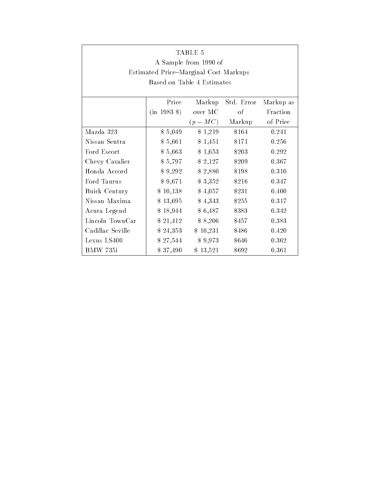| TABLE 5                                             |              |                       |            |           |  |  |  |  |  |
|-----------------------------------------------------|--------------|-----------------------|------------|-----------|--|--|--|--|--|
|                                                     |              | A Sample from 1990 of |            |           |  |  |  |  |  |
| Estimated Price-Marginal Cost Markups               |              |                       |            |           |  |  |  |  |  |
| Based on Table 4 Estimates                          |              |                       |            |           |  |  |  |  |  |
|                                                     |              |                       |            |           |  |  |  |  |  |
|                                                     | Price        | Markup                | Std. Error | Markup as |  |  |  |  |  |
|                                                     | $(in 1983 \$ | over MC               | of         | Fraction  |  |  |  |  |  |
|                                                     |              | $(p - MC)$            | Markup     | of Price  |  |  |  |  |  |
| Mazda 323                                           | \$5,049      | \$1,219               | \$164      | 0.241     |  |  |  |  |  |
| Nissan Sentra                                       | \$5,661      | \$1,451               | \$171      | 0.256     |  |  |  |  |  |
| \$5,663<br>Ford Escort<br>\$1,653<br>\$203<br>0.292 |              |                       |            |           |  |  |  |  |  |
| Chevy Cavalier                                      | \$5,797      | \$2,127               | \$209      | 0.367     |  |  |  |  |  |
| Honda Accord                                        | \$9,292      | \$2,880               | \$198      | 0.310     |  |  |  |  |  |
| Ford Taurus                                         | \$9,671      | \$3,352               | \$216      | 0.347     |  |  |  |  |  |
| <b>Buick Century</b>                                | \$10,138     | \$4,057               | \$231      | 0.400     |  |  |  |  |  |
| Nissan Maxima                                       | \$13,695     | \$4,343               | \$255      | 0.317     |  |  |  |  |  |
| Acura Legend                                        | \$18,944     | \$6,487               | \$383      | 0.342     |  |  |  |  |  |
| Lincoln TownCar                                     | \$21,412     | \$8,206               | \$457      | 0.383     |  |  |  |  |  |
| Cadillac Seville                                    | \$24,353     | \$10,231              | \$486      | 0.420     |  |  |  |  |  |
| Lexus LS400                                         | \$27,544     | \$9,973               | \$646      | 0.362     |  |  |  |  |  |
| <b>BMW</b> 735i                                     | \$37,490     | \$13,521              | \$692      | 0.361     |  |  |  |  |  |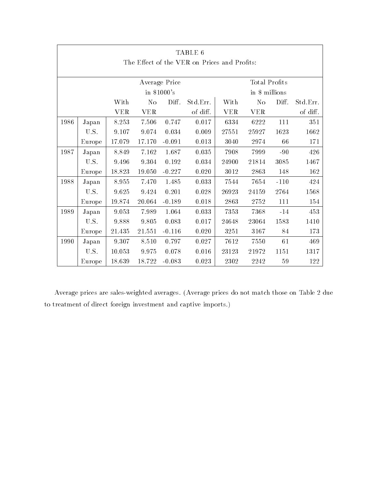| TABLE 6<br>The Effect of the VER on Prices and Profits: |        |                  |                |               |          |            |                      |        |          |  |
|---------------------------------------------------------|--------|------------------|----------------|---------------|----------|------------|----------------------|--------|----------|--|
|                                                         |        |                  |                |               |          |            |                      |        |          |  |
|                                                         |        |                  |                | Average Price |          |            | <b>Total Profits</b> |        |          |  |
|                                                         |        |                  |                | in \$1000's   |          |            | in \$ millions       |        |          |  |
|                                                         |        | With             | N <sub>o</sub> | Diff.         | Std.Err. | With       | N <sub>o</sub>       | Diff.  | Std.Err. |  |
|                                                         |        | <b>VER</b>       | <b>VER</b>     |               | of diff. | <b>VER</b> | <b>VER</b>           |        | of diff. |  |
| 1986                                                    | Japan  | 8.253            | 7.506          | 0.747         | 0.017    | 6334       | 6222                 | 111    | 351      |  |
|                                                         | U.S.   | 9.107            | 9.074          | 0.034         | 0.009    | 27551      | 25927                | 1623   | 1662     |  |
|                                                         | Europe | 17.079           | 17.170         | $-0.091$      | 0.013    | 3040       | 2974                 | 66     | 171      |  |
| 1987                                                    | Japan  | 8.849            | 7.162          | 1.687         | 0.035    | 7908       | 7999                 | $-90$  | 426      |  |
|                                                         | U.S.   | 9.496            | 9.304          | 0.192         | 0.034    | 24900      | 21814                | 3085   | 1467     |  |
|                                                         | Europe | 18.823           | 19.050         | $-0.227$      | 0.020    | 3012       | 2863                 | 148    | 162      |  |
| 1988                                                    | Japan  | 8.955            | 7.470          | 1.485         | 0.033    | 7544       | 7654                 | $-110$ | 424      |  |
|                                                         | U.S.   | 9.625            | 9.424          | $0.201\,$     | 0.028    | 26923      | 24159                | 2764   | 1568     |  |
|                                                         | Europe | 19.874           | 20.064         | $-0.189$      | 0.018    | 2863       | 2752                 | 111    | 154      |  |
| 1989                                                    | Japan  | 9.053            | 7.989          | 1.064         | 0.033    | 7353       | 7368                 | $-14$  | 453      |  |
|                                                         | U.S.   | 9.888            | 9.805          | 0.083         | 0.017    | 24648      | 23064                | 1583   | 1410     |  |
|                                                         | Europe | 21.435           | 21.551         | $-0.116$      | 0.020    | 3251       | 3167                 | 84     | 173      |  |
| 1990                                                    | Japan  | 9.307            | 8.510          | 0.797         | 0.027    | 7612       | 7550                 | 61     | 469      |  |
|                                                         | U.S.   | $10\!\cdot\!053$ | 9.975          | 0.078         | 0.016    | 23123      | 21972                | 1151   | 1317     |  |
|                                                         | Europe | 18.639           | 18.722         | $-0.083$      | 0.023    | 2302       | 2242                 | 59     | 122      |  |

Average prices are sales-weighted averages. (Average prices do not match those on Table 2 due to treatment of direct foreign investment and captive imports.)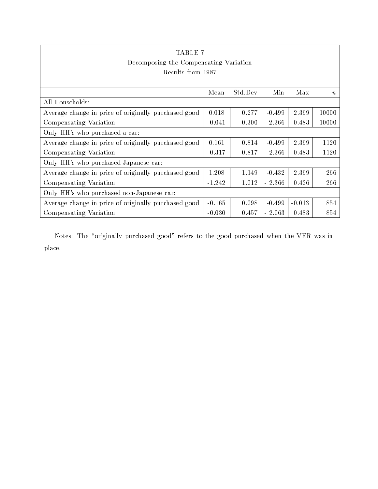| TABLE 7<br>Decomposing the Compensating Variation<br>Results from 1987 |          |       |          |          |       |  |  |  |
|------------------------------------------------------------------------|----------|-------|----------|----------|-------|--|--|--|
| Std.Dev<br>Mean<br>Min<br>Max<br>$\boldsymbol{n}$                      |          |       |          |          |       |  |  |  |
| All Households:                                                        |          |       |          |          |       |  |  |  |
| Average change in price of originally purchased good                   | 0.018    | 0.277 | $-0.499$ | 2.369    | 10000 |  |  |  |
| Compensating Variation                                                 | $-0.041$ | 0.300 | $-2.366$ | 0.483    | 10000 |  |  |  |
| Only HH's who purchased a car:                                         |          |       |          |          |       |  |  |  |
| Average change in price of originally purchased good                   | 0.161    | 0.814 | $-0.499$ | 2.369    | 1120  |  |  |  |
| Compensating Variation                                                 | $-0.317$ | 0.817 | $-2.366$ | 0.483    | 1120  |  |  |  |
| Only HH's who purchased Japanese car:                                  |          |       |          |          |       |  |  |  |
| Average change in price of originally purchased good                   | 1.208    | 1.149 | $-0.432$ | 2.369    | 266   |  |  |  |
| Compensating Variation                                                 | $-1.242$ | 1.012 | $-2.366$ | 0.426    | 266   |  |  |  |
| Only HH's who purchased non-Japanese car:                              |          |       |          |          |       |  |  |  |
| Average change in price of originally purchased good                   | $-0.165$ | 0.098 | $-0.499$ | $-0.013$ | 854   |  |  |  |
| Compensating Variation                                                 | $-0.030$ | 0.457 | $-2.063$ | 0.483    | 854   |  |  |  |

Notes: The "originally purchased good" refers to the good purchased when the VER was in place.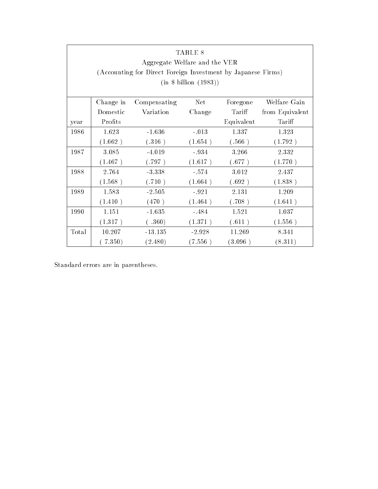| TABLE 8<br>Aggregate Welfare and the VER<br>(Accounting for Direct Foreign Investment by Japanese Firms)<br>(in \$ billion (1983)) |                                                                     |           |          |            |                 |  |  |  |  |  |
|------------------------------------------------------------------------------------------------------------------------------------|---------------------------------------------------------------------|-----------|----------|------------|-----------------|--|--|--|--|--|
|                                                                                                                                    | Change in<br><b>Net</b><br>Welfare Gain<br>Compensating<br>Foregone |           |          |            |                 |  |  |  |  |  |
|                                                                                                                                    | Domestic                                                            | Variation | Change   | Tariff     | from Equivalent |  |  |  |  |  |
| year                                                                                                                               | Profits                                                             |           |          | Equivalent | Tariff          |  |  |  |  |  |
| 1986                                                                                                                               | 1.623                                                               | $-1.636$  | $-013$   | 1.337      | 1.323           |  |  |  |  |  |
|                                                                                                                                    | (1.662)                                                             | (.316)    | (1.654)  | (.566)     | (1.792)         |  |  |  |  |  |
| 1987                                                                                                                               | 3.085                                                               | $-4.019$  | $-934$   | 3.266      | 2.332           |  |  |  |  |  |
|                                                                                                                                    | (1.467)                                                             | (.797)    | (1.617)  | (.677)     | (1.770)         |  |  |  |  |  |
| 1988                                                                                                                               | 2.764                                                               | $-3.338$  | $-574$   | 3.012      | 2.437           |  |  |  |  |  |
|                                                                                                                                    | (1.568)                                                             | (.710)    | (1.664)  | (.692)     | (1.838)         |  |  |  |  |  |
| 1989                                                                                                                               | 1.583                                                               | $-2.505$  | $-921$   | 2.131      | 1.209           |  |  |  |  |  |
|                                                                                                                                    | (1.410)                                                             | (470)     | (1.464)  | (.708)     | (1.641)         |  |  |  |  |  |
| 1990                                                                                                                               | 1.151                                                               | $-1.635$  | $-484$   | 1.521      | 1.037           |  |  |  |  |  |
|                                                                                                                                    | (1.317)                                                             | (.360)    | (1.371)  | (.611)     | (1.556)         |  |  |  |  |  |
| Total                                                                                                                              | 10.207                                                              | $-13.135$ | $-2.928$ | 11.269     | 8.341           |  |  |  |  |  |
|                                                                                                                                    | 7.350)                                                              | (2.480)   | (7.556)  | (3.096)    | (8.311)         |  |  |  |  |  |

Standard errors are in parentheses.